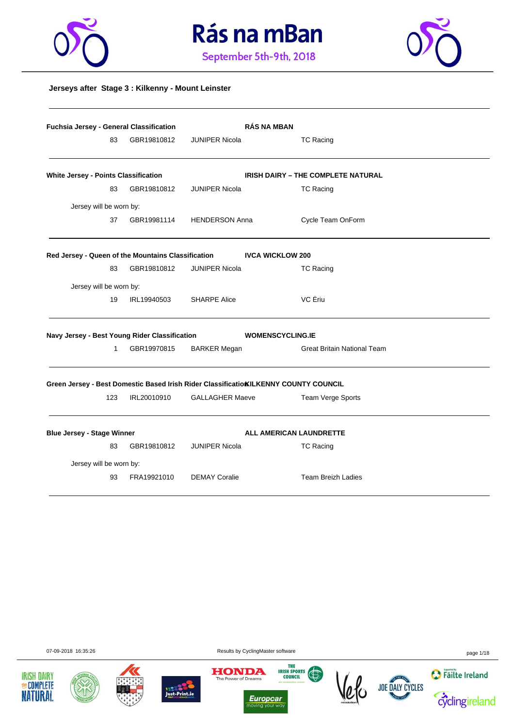





#### **Jerseys after Stage 3 : Kilkenny - Mount Leinster**

|                                                    | Fuchsia Jersey - General Classification |             |                        | <b>RÁS NA MBAN</b>                                                                   |
|----------------------------------------------------|-----------------------------------------|-------------|------------------------|--------------------------------------------------------------------------------------|
|                                                    | 83                                      | GBR19810812 | <b>JUNIPER Nicola</b>  | <b>TC Racing</b>                                                                     |
| White Jersey - Points Classification               |                                         |             |                        | <b>IRISH DAIRY - THE COMPLETE NATURAL</b>                                            |
|                                                    | 83                                      | GBR19810812 | <b>JUNIPER Nicola</b>  | <b>TC Racing</b>                                                                     |
| Jersey will be worn by:                            |                                         |             |                        |                                                                                      |
|                                                    | 37                                      | GBR19981114 | <b>HENDERSON Anna</b>  | Cycle Team OnForm                                                                    |
| Red Jersey - Queen of the Mountains Classification |                                         |             |                        | <b>IVCA WICKLOW 200</b>                                                              |
|                                                    | 83                                      | GBR19810812 | <b>JUNIPER Nicola</b>  | <b>TC Racing</b>                                                                     |
| Jersey will be worn by:                            |                                         |             |                        |                                                                                      |
|                                                    | 19                                      | IRL19940503 | <b>SHARPE Alice</b>    | VC Ériu                                                                              |
| Navy Jersey - Best Young Rider Classification      |                                         |             |                        | <b>WOMENSCYCLING.IE</b>                                                              |
|                                                    | $\mathbf{1}$                            | GBR19970815 | <b>BARKER Megan</b>    | <b>Great Britain National Team</b>                                                   |
|                                                    |                                         |             |                        | Green Jersey - Best Domestic Based Irish Rider Classificatio KILKENNY COUNTY COUNCIL |
|                                                    | 123                                     | IRL20010910 | <b>GALLAGHER Maeve</b> | Team Verge Sports                                                                    |
| <b>Blue Jersey - Stage Winner</b>                  |                                         |             |                        | <b>ALL AMERICAN LAUNDRETTE</b>                                                       |
|                                                    | 83                                      | GBR19810812 | <b>JUNIPER Nicola</b>  | <b>TC Racing</b>                                                                     |
| Jersey will be worn by:                            |                                         |             |                        |                                                                                      |
|                                                    | 93                                      | FRA19921010 | <b>DEMAY Coralie</b>   | <b>Team Breizh Ladies</b>                                                            |



**IRISH DAIRY** 

**MECOMPLETE NATURAL** 



*Europcar*<br>moving your way  $\frac{1}{10}$ 

The Power of Dreams

THE THE SPORTS



07-09-2018 16:35:26 Results by CyclingMaster software page 1/18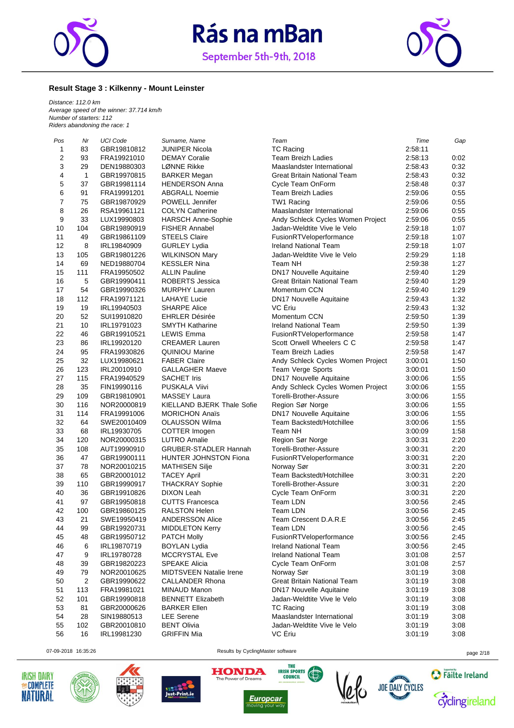



#### **Result Stage 3 : Kilkenny - Mount Leinster**

*Distance: 112.0 km Average speed of the winner: 37.714 km/h Number of starters: 112 Riders abandoning the race: 1*

| Pos                     | Nr           | UCI Code    | Surname, Name                  | Team                               | Time    | Gap  |
|-------------------------|--------------|-------------|--------------------------------|------------------------------------|---------|------|
| 1                       | 83           | GBR19810812 | <b>JUNIPER Nicola</b>          | <b>TC Racing</b>                   | 2:58:11 |      |
| $\overline{\mathbf{c}}$ | 93           | FRA19921010 | <b>DEMAY Coralie</b>           | <b>Team Breizh Ladies</b>          | 2:58:13 | 0:02 |
| 3                       | 29           | DEN19880303 | LØNNE Rikke                    | Maaslandster International         | 2:58:43 | 0:32 |
| 4                       | $\mathbf{1}$ | GBR19970815 | <b>BARKER Megan</b>            | <b>Great Britain National Team</b> | 2:58:43 | 0:32 |
| 5                       | 37           | GBR19981114 | <b>HENDERSON Anna</b>          | Cycle Team OnForm                  | 2:58:48 | 0:37 |
| 6                       | 91           | FRA19991201 | <b>ABGRALL Noemie</b>          | <b>Team Breizh Ladies</b>          | 2:59:06 | 0:55 |
| 7                       | 75           | GBR19870929 | POWELL Jennifer                | TW1 Racing                         | 2:59:06 | 0:55 |
| 8                       | 26           | RSA19961121 | <b>COLYN Catherine</b>         | Maaslandster International         | 2:59:06 | 0:55 |
| 9                       | 33           | LUX19990803 | <b>HARSCH Anne-Sophie</b>      | Andy Schleck Cycles Women Project  | 2:59:06 | 0:55 |
| 10                      | 104          | GBR19890919 | <b>FISHER Annabel</b>          | Jadan-Weldtite Vive le Velo        | 2:59:18 | 1:07 |
| 11                      | 49           | GBR19861109 | <b>STEELS Claire</b>           | FusionRTVeloperformance            | 2:59:18 | 1:07 |
| 12                      | 8            | IRL19840909 | <b>GURLEY Lydia</b>            | Ireland National Team              | 2:59:18 | 1:07 |
| 13                      | 105          | GBR19801226 | <b>WILKINSON Mary</b>          | Jadan-Weldtite Vive le Velo        | 2:59:29 | 1:18 |
| 14                      | 69           | NED19880704 | <b>KESSLER Nina</b>            | Team NH                            | 2:59:38 | 1:27 |
| 15                      | 111          | FRA19950502 | <b>ALLIN Pauline</b>           | DN17 Nouvelle Aquitaine            | 2:59:40 | 1:29 |
| 16                      | 5            | GBR19990411 | <b>ROBERTS Jessica</b>         | <b>Great Britain National Team</b> | 2:59:40 | 1:29 |
| 17                      | 54           | GBR19990326 | <b>MURPHY Lauren</b>           | Momentum CCN                       | 2:59:40 | 1:29 |
| 18                      | 112          | FRA19971121 | <b>LAHAYE Lucie</b>            | DN17 Nouvelle Aquitaine            | 2:59:43 | 1:32 |
| 19                      | 19           | IRL19940503 | <b>SHARPE Alice</b>            | VC Eriu                            | 2:59:43 | 1:32 |
| 20                      | 52           | SUI19910820 | <b>EHRLER Désirée</b>          | Momentum CCN                       | 2:59:50 | 1:39 |
| 21                      | 10           | IRL19791023 | <b>SMYTH Katharine</b>         | <b>Ireland National Team</b>       | 2:59:50 | 1:39 |
| 22                      | 46           | GBR19910521 | <b>LEWIS Emma</b>              | FusionRTVeloperformance            | 2:59:58 | 1:47 |
| 23                      | 86           | IRL19920120 | <b>CREAMER Lauren</b>          | Scott Orwell Wheelers C C          | 2:59:58 | 1:47 |
| 24                      | 95           | FRA19930826 | <b>QUINIOU Marine</b>          | <b>Team Breizh Ladies</b>          | 2:59:58 | 1:47 |
| 25                      | 32           | LUX19980621 | <b>FABER Claire</b>            | Andy Schleck Cycles Women Project  | 3:00:01 | 1:50 |
| 26                      | 123          | IRL20010910 | <b>GALLAGHER Maeve</b>         | <b>Team Verge Sports</b>           | 3:00:01 | 1:50 |
| 27                      | 115          | FRA19940529 | <b>SACHET Iris</b>             | DN17 Nouvelle Aquitaine            | 3:00:06 | 1:55 |
| 28                      | 35           | FIN19990116 | PUSKALA Viivi                  | Andy Schleck Cycles Women Project  | 3:00:06 | 1:55 |
| 29                      | 109          | GBR19810901 | <b>MASSEY Laura</b>            | Torelli-Brother-Assure             | 3:00:06 | 1:55 |
| 30                      | 116          | NOR20000819 | KIELLAND BJERK Thale Sofie     | Region Sør Norge                   | 3:00:06 | 1:55 |
| 31                      | 114          | FRA19991006 | <b>MORICHON Anaïs</b>          | DN17 Nouvelle Aquitaine            | 3:00:06 | 1:55 |
| 32                      | 64           | SWE20010409 | <b>OLAUSSON Wilma</b>          | Team Backstedt/Hotchillee          | 3:00:06 | 1:55 |
| 33                      | 68           | IRL19930705 | COTTER Imogen                  | Team NH                            | 3:00:09 | 1:58 |
| 34                      | 120          | NOR20000315 | <b>LUTRO Amalie</b>            | Region Sør Norge                   | 3:00:31 | 2:20 |
| 35                      | 108          | AUT19990910 | <b>GRUBER-STADLER Hannah</b>   | Torelli-Brother-Assure             | 3:00:31 | 2:20 |
| 36                      | 47           | GBR19900111 | <b>HUNTER JOHNSTON Fiona</b>   | FusionRTVeloperformance            | 3:00:31 | 2:20 |
| 37                      | 78           | NOR20010215 | <b>MATHISEN Silje</b>          | Norway Sør                         | 3:00:31 | 2:20 |
| 38                      | 65           | GBR20001012 | <b>TACEY April</b>             | Team Backstedt/Hotchillee          | 3:00:31 | 2:20 |
| 39                      | 110          | GBR19990917 | <b>THACKRAY Sophie</b>         | Torelli-Brother-Assure             | 3:00:31 | 2:20 |
| 40                      | 36           | GBR19910826 | <b>DIXON Leah</b>              | Cycle Team OnForm                  | 3:00:31 | 2:20 |
| 41                      | 97           | GBR19950818 | <b>CUTTS Francesca</b>         | Team LDN                           | 3:00:56 | 2:45 |
| 42                      | 100          | GBR19860125 | <b>RALSTON Helen</b>           | Team LDN                           | 3:00:56 | 2:45 |
| 43                      | 21           | SWE19950419 | <b>ANDERSSON Alice</b>         | Team Crescent D.A.R.E              | 3:00:56 | 2:45 |
| 44                      | 99           | GBR19920731 | <b>MIDDLETON Kerry</b>         | Team LDN                           | 3:00:56 | 2:45 |
| 45                      | 48           | GBR19950712 | <b>PATCH Molly</b>             | FusionRTVeloperformance            | 3:00:56 | 2:45 |
| 46                      | 6            | IRL19870719 | <b>BOYLAN Lydia</b>            | <b>Ireland National Team</b>       | 3:00:56 | 2:45 |
| 47                      | 9            | IRL19780728 | <b>MCCRYSTAL Eve</b>           | <b>Ireland National Team</b>       | 3:01:08 | 2:57 |
| 48                      | 39           | GBR19820223 | <b>SPEAKE Alicia</b>           | Cycle Team OnForm                  | 3:01:08 | 2:57 |
| 49                      | 79           | NOR20010625 | <b>MIDTSVEEN Natalie Irene</b> | Norway Sør                         | 3:01:19 | 3:08 |
| 50                      | 2            | GBR19990622 | <b>CALLANDER Rhona</b>         | <b>Great Britain National Team</b> | 3:01:19 | 3:08 |
| 51                      | 113          | FRA19981021 | MINAUD Manon                   | <b>DN17 Nouvelle Aquitaine</b>     | 3:01:19 | 3:08 |
| 52                      | 101          | GBR19990818 | <b>BENNETT Elizabeth</b>       | Jadan-Weldtite Vive le Velo        | 3:01:19 | 3:08 |
| 53                      | 81           | GBR20000626 | <b>BARKER Ellen</b>            | <b>TC Racing</b>                   | 3:01:19 | 3:08 |
| 54                      | 28           | SIN19880513 | <b>LEE</b> Serene              | Maaslandster International         | 3:01:19 | 3:08 |
| 55                      | 102          | GBR20010810 | <b>BENT Olivia</b>             | Jadan-Weldtite Vive le Velo        | 3:01:19 | 3:08 |
| 56                      | 16           | IRL19981230 | <b>GRIFFIN Mia</b>             | VC Eriu                            | 3:01:19 | 3:08 |











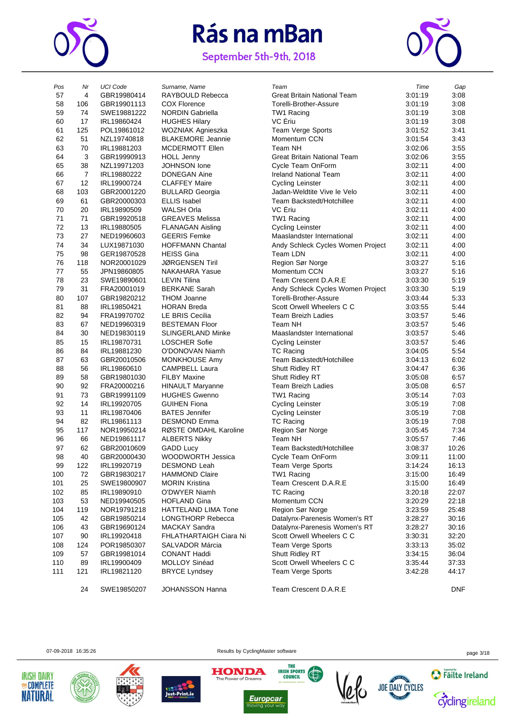

September 5th-9th, 2018



| Pos | Nr             | <b>UCI Code</b> | Surname, Name            | Team                               | Time    | Gap        |
|-----|----------------|-----------------|--------------------------|------------------------------------|---------|------------|
| 57  | 4              | GBR19980414     | RAYBOULD Rebecca         | <b>Great Britain National Team</b> | 3:01:19 | 3:08       |
| 58  | 106            | GBR19901113     | <b>COX Florence</b>      | Torelli-Brother-Assure             | 3:01:19 | 3:08       |
| 59  | 74             | SWE19881222     | <b>NORDIN Gabriella</b>  | TW1 Racing                         | 3:01:19 | 3:08       |
| 60  | 17             | IRL19860424     | <b>HUGHES Hilary</b>     | VC Ériu                            | 3:01:19 | 3:08       |
| 61  | 125            | POL19861012     | WOZNIAK Agnieszka        | <b>Team Verge Sports</b>           | 3:01:52 | 3:41       |
| 62  | 51             | NZL19740818     | <b>BLAKEMORE Jeannie</b> | Momentum CCN                       | 3:01:54 | 3:43       |
| 63  | 70             | IRL19881203     | <b>MCDERMOTT Ellen</b>   | Team NH                            | 3:02:06 | 3:55       |
| 64  | 3              | GBR19990913     | <b>HOLL Jenny</b>        | <b>Great Britain National Team</b> | 3:02:06 | 3:55       |
| 65  | 38             | NZL19971203     | <b>JOHNSON</b> lone      | Cycle Team OnForm                  | 3:02:11 | 4:00       |
| 66  | $\overline{7}$ | IRL19880222     | <b>DONEGAN Aine</b>      | <b>Ireland National Team</b>       | 3:02:11 | 4:00       |
| 67  | 12             | IRL19900724     | <b>CLAFFEY Maire</b>     | <b>Cycling Leinster</b>            | 3:02:11 | 4:00       |
| 68  | 103            | GBR20001220     | <b>BULLARD Georgia</b>   | Jadan-Weldtite Vive le Velo        | 3:02:11 | 4:00       |
| 69  | 61             | GBR20000303     | <b>ELLIS Isabel</b>      | Team Backstedt/Hotchillee          | 3:02:11 | 4:00       |
| 70  | 20             | IRL19890509     | <b>WALSH Orla</b>        | VC Ériu                            | 3:02:11 | 4:00       |
| 71  | 71             | GBR19920518     | <b>GREAVES Melissa</b>   | TW1 Racing                         | 3:02:11 | 4:00       |
| 72  | 13             | IRL19880505     | <b>FLANAGAN Aisling</b>  | <b>Cycling Leinster</b>            | 3:02:11 | 4:00       |
| 73  | 27             | NED19960603     | <b>GEERIS Femke</b>      | Maaslandster International         | 3:02:11 | 4:00       |
| 74  | 34             | LUX19871030     | <b>HOFFMANN Chantal</b>  | Andy Schleck Cycles Women Project  | 3:02:11 | 4:00       |
| 75  | 98             | GER19870528     | <b>HEISS Gina</b>        | Team LDN                           | 3:02:11 | 4:00       |
| 76  | 118            | NOR20001029     | <b>JØRGENSEN Tiril</b>   | Region Sør Norge                   | 3:03:27 | 5:16       |
| 77  | 55             | JPN19860805     | <b>NAKAHARA Yasue</b>    | Momentum CCN                       | 3:03:27 | 5:16       |
| 78  | 23             | SWE19890601     | <b>LEVIN Tilina</b>      | Team Crescent D.A.R.E              | 3:03:30 | 5:19       |
| 79  | 31             | FRA20001019     | <b>BERKANE Sarah</b>     | Andy Schleck Cycles Women Project  | 3:03:30 | 5:19       |
| 80  | 107            | GBR19820212     | <b>THOM Joanne</b>       | Torelli-Brother-Assure             | 3:03:44 | 5:33       |
| 81  | 88             | IRL19850421     | <b>HORAN Breda</b>       | Scott Orwell Wheelers C C          | 3:03:55 | 5:44       |
| 82  | 94             | FRA19970702     | LE BRIS Cecilia          | <b>Team Breizh Ladies</b>          | 3:03:57 | 5:46       |
| 83  | 67             | NED19960319     | <b>BESTEMAN Floor</b>    | Team NH                            | 3:03:57 | 5:46       |
| 84  | 30             | NED19830119     | <b>SLINGERLAND Minke</b> | Maaslandster International         | 3:03:57 | 5:46       |
| 85  | 15             | IRL19870731     | <b>LOSCHER Sofie</b>     | <b>Cycling Leinster</b>            | 3:03:57 | 5:46       |
| 86  | 84             | IRL19881230     | O'DONOVAN Niamh          | <b>TC Racing</b>                   | 3:04:05 | 5:54       |
| 87  | 63             | GBR20010506     | MONKHOUSE Amy            | Team Backstedt/Hotchillee          | 3:04:13 | 6:02       |
| 88  | 56             | IRL19860610     | CAMPBELL Laura           | Shutt Ridley RT                    | 3:04:47 | 6:36       |
| 89  | 58             | GBR19801030     | <b>FILBY Maxine</b>      | Shutt Ridley RT                    | 3:05:08 | 6:57       |
| 90  | 92             | FRA20000216     | <b>HINAULT Maryanne</b>  | Team Breizh Ladies                 | 3:05:08 | 6:57       |
| 91  | 73             | GBR19991109     | <b>HUGHES Gwenno</b>     | TW1 Racing                         | 3:05:14 | 7:03       |
| 92  | 14             | IRL19920705     | <b>GUIHEN Fiona</b>      | <b>Cycling Leinster</b>            | 3:05:19 | 7:08       |
| 93  | 11             | IRL19870406     | <b>BATES</b> Jennifer    | <b>Cycling Leinster</b>            | 3:05:19 | 7:08       |
| 94  | 82             | IRL19861113     | <b>DESMOND Emma</b>      | <b>TC Racing</b>                   | 3:05:19 | 7:08       |
| 95  | 117            | NOR19950214     | RØSTE OMDAHL Karoline    | Region Sør Norge                   | 3:05:45 | 7:34       |
| 96  | 66             | NED19861117     | <b>ALBERTS Nikky</b>     | Team NH                            | 3:05:57 | 7:46       |
| 97  | 62             | GBR20010609     | <b>GADD Lucy</b>         | Team Backstedt/Hotchillee          | 3:08:37 | 10:26      |
| 98  | 40             | GBR20000430     | WOODWORTH Jessica        | Cycle Team OnForm                  | 3:09:11 | 11:00      |
| 99  | 122            | IRL19920719     | DESMOND Leah             | Team Verge Sports                  | 3:14:24 | 16:13      |
| 100 | 72             | GBR19830217     | <b>HAMMOND Claire</b>    | TW1 Racing                         | 3:15:00 | 16:49      |
| 101 | 25             | SWE19800907     | <b>MORIN Kristina</b>    | Team Crescent D.A.R.E              | 3:15:00 | 16:49      |
| 102 | 85             | IRL19890910     | O'DWYER Niamh            | <b>TC Racing</b>                   | 3:20:18 | 22:07      |
| 103 | 53             | NED19940505     | <b>HOFLAND Gina</b>      | Momentum CCN                       | 3:20:29 | 22:18      |
| 104 | 119            | NOR19791218     | HATTELAND LIMA Tone      | Region Sør Norge                   | 3:23:59 | 25:48      |
| 105 | 42             | GBR19850214     | LONGTHORP Rebecca        | Datalynx-Parenesis Women's RT      | 3:28:27 | 30:16      |
| 106 | 43             | GBR19690124     | <b>MACKAY Sandra</b>     | Datalynx-Parenesis Women's RT      | 3:28:27 | 30:16      |
| 107 | 90             | IRL19920418     | FHLATHARTAIGH Ciara Ni   | Scott Orwell Wheelers C C          | 3:30:31 | 32:20      |
| 108 | 124            | POR19850307     | SALVADOR Márcia          | Team Verge Sports                  | 3:33:13 | 35:02      |
| 109 | 57             | GBR19981014     | <b>CONANT Haddi</b>      | Shutt Ridley RT                    | 3:34:15 | 36:04      |
| 110 | 89             | IRL19900409     | MOLLOY Sinéad            | Scott Orwell Wheelers C C          | 3:35:44 | 37:33      |
| 111 | 121            | IRL19821120     | <b>BRYCE Lyndsey</b>     | Team Verge Sports                  | 3:42:28 | 44:17      |
|     |                |                 |                          |                                    |         |            |
|     | 24             | SWE19850207     | <b>JOHANSSON Hanna</b>   | Team Crescent D.A.R.E              |         | <b>DNF</b> |
|     |                |                 |                          |                                    |         |            |









**HONDA** 



THE

**IRISH SPORTS** 



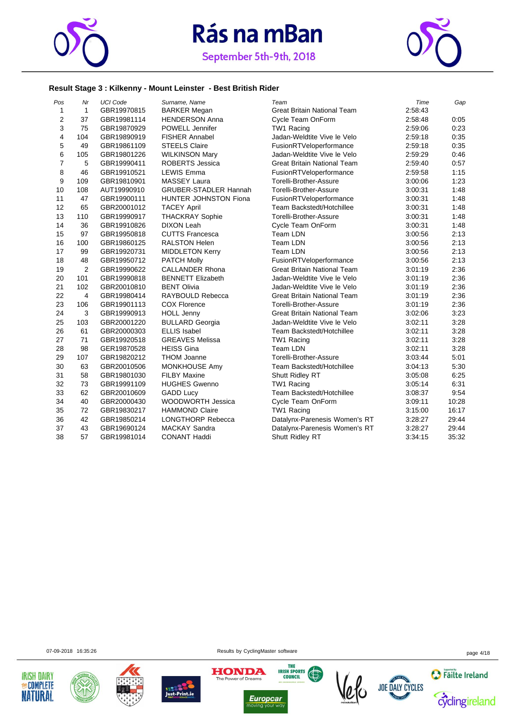



#### **Result Stage 3 : Kilkenny - Mount Leinster - Best British Rider**

| Pos            | Nr             | <b>UCI Code</b> | Surname, Name                | Team                               | Time    | Gap   |
|----------------|----------------|-----------------|------------------------------|------------------------------------|---------|-------|
| $\mathbf{1}$   | $\mathbf{1}$   | GBR19970815     | <b>BARKER Megan</b>          | Great Britain National Team        | 2:58:43 |       |
| $\mathbf 2$    | 37             | GBR19981114     | <b>HENDERSON Anna</b>        | Cycle Team OnForm                  | 2:58:48 | 0:05  |
| 3              | 75             | GBR19870929     | POWELL Jennifer              | TW1 Racing                         | 2:59:06 | 0:23  |
| $\overline{4}$ | 104            | GBR19890919     | <b>FISHER Annabel</b>        | Jadan-Weldtite Vive le Velo        | 2:59:18 | 0:35  |
| 5              | 49             | GBR19861109     | <b>STEELS Claire</b>         | FusionRTVeloperformance            | 2:59:18 | 0:35  |
| 6              | 105            | GBR19801226     | <b>WILKINSON Mary</b>        | Jadan-Weldtite Vive le Velo        | 2:59:29 | 0:46  |
| $\overline{7}$ | 5              | GBR19990411     | <b>ROBERTS Jessica</b>       | <b>Great Britain National Team</b> | 2:59:40 | 0:57  |
| 8              | 46             | GBR19910521     | <b>LEWIS Emma</b>            | FusionRTVeloperformance            | 2:59:58 | 1:15  |
| 9              | 109            | GBR19810901     | <b>MASSEY Laura</b>          | Torelli-Brother-Assure             | 3:00:06 | 1:23  |
| 10             | 108            | AUT19990910     | <b>GRUBER-STADLER Hannah</b> | Torelli-Brother-Assure             | 3:00:31 | 1:48  |
| 11             | 47             | GBR19900111     | <b>HUNTER JOHNSTON Fiona</b> | FusionRTVeloperformance            | 3:00:31 | 1:48  |
| 12             | 65             | GBR20001012     | <b>TACEY April</b>           | Team Backstedt/Hotchillee          | 3:00:31 | 1:48  |
| 13             | 110            | GBR19990917     | <b>THACKRAY Sophie</b>       | Torelli-Brother-Assure             | 3:00:31 | 1:48  |
| 14             | 36             | GBR19910826     | <b>DIXON Leah</b>            | Cycle Team OnForm                  | 3:00:31 | 1:48  |
| 15             | 97             | GBR19950818     | <b>CUTTS Francesca</b>       | Team LDN                           | 3:00:56 | 2:13  |
| 16             | 100            | GBR19860125     | <b>RALSTON Helen</b>         | Team LDN                           | 3:00:56 | 2:13  |
| 17             | 99             | GBR19920731     | <b>MIDDLETON Kerry</b>       | Team LDN                           | 3:00:56 | 2:13  |
| 18             | 48             | GBR19950712     | <b>PATCH Molly</b>           | FusionRTVeloperformance            | 3:00:56 | 2:13  |
| 19             | $\overline{2}$ | GBR19990622     | <b>CALLANDER Rhona</b>       | <b>Great Britain National Team</b> | 3:01:19 | 2:36  |
| 20             | 101            | GBR19990818     | <b>BENNETT Elizabeth</b>     | Jadan-Weldtite Vive le Velo        | 3:01:19 | 2:36  |
| 21             | 102            | GBR20010810     | <b>BENT Olivia</b>           | Jadan-Weldtite Vive le Velo        | 3:01:19 | 2:36  |
| 22             | $\overline{4}$ | GBR19980414     | RAYBOULD Rebecca             | <b>Great Britain National Team</b> | 3:01:19 | 2:36  |
| 23             | 106            | GBR19901113     | <b>COX Florence</b>          | Torelli-Brother-Assure             | 3:01:19 | 2:36  |
| 24             | 3              | GBR19990913     | <b>HOLL Jenny</b>            | <b>Great Britain National Team</b> | 3:02:06 | 3:23  |
| 25             | 103            | GBR20001220     | <b>BULLARD Georgia</b>       | Jadan-Weldtite Vive le Velo        | 3:02:11 | 3:28  |
| 26             | 61             | GBR20000303     | <b>ELLIS Isabel</b>          | Team Backstedt/Hotchillee          | 3:02:11 | 3:28  |
| 27             | 71             | GBR19920518     | <b>GREAVES Melissa</b>       | TW1 Racing                         | 3:02:11 | 3:28  |
| 28             | 98             | GER19870528     | <b>HEISS Gina</b>            | Team LDN                           | 3:02:11 | 3:28  |
| 29             | 107            | GBR19820212     | <b>THOM Joanne</b>           | Torelli-Brother-Assure             | 3:03:44 | 5:01  |
| 30             | 63             | GBR20010506     | MONKHOUSE Amy                | Team Backstedt/Hotchillee          | 3:04:13 | 5:30  |
| 31             | 58             | GBR19801030     | <b>FILBY Maxine</b>          | Shutt Ridley RT                    | 3:05:08 | 6:25  |
| 32             | 73             | GBR19991109     | <b>HUGHES Gwenno</b>         | TW1 Racing                         | 3:05:14 | 6:31  |
| 33             | 62             | GBR20010609     | <b>GADD Lucy</b>             | Team Backstedt/Hotchillee          | 3:08:37 | 9:54  |
| 34             | 40             | GBR20000430     | WOODWORTH Jessica            | Cycle Team OnForm                  | 3:09:11 | 10:28 |
| 35             | 72             | GBR19830217     | <b>HAMMOND Claire</b>        | TW1 Racing                         | 3:15:00 | 16:17 |
| 36             | 42             | GBR19850214     | LONGTHORP Rebecca            | Datalynx-Parenesis Women's RT      | 3:28:27 | 29:44 |
| 37             | 43             | GBR19690124     | <b>MACKAY Sandra</b>         | Datalynx-Parenesis Women's RT      | 3:28:27 | 29:44 |
| 38             | 57             | GBR19981014     | <b>CONANT Haddi</b>          | Shutt Ridley RT                    | 3:34:15 | 35:32 |

07-09-2018 16:35:26 page 4/18













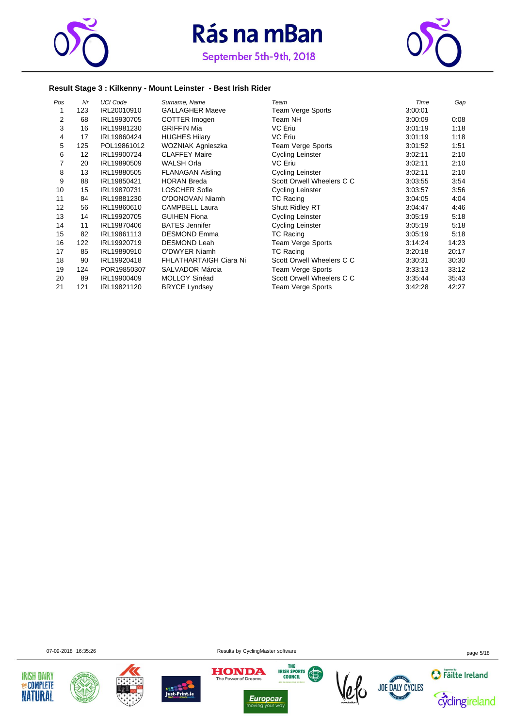



#### **Result Stage 3 : Kilkenny - Mount Leinster - Best Irish Rider**

| Pos            | Nr  | <b>UCI Code</b> | Surname, Name           | Team                      | Time    | Gap   |
|----------------|-----|-----------------|-------------------------|---------------------------|---------|-------|
|                | 123 | IRL20010910     | <b>GALLAGHER Maeve</b>  | Team Verge Sports         | 3:00:01 |       |
| $\overline{2}$ | 68  | IRL19930705     | COTTER Imogen           | Team NH                   | 3:00:09 | 0:08  |
| 3              | 16  | IRL19981230     | <b>GRIFFIN Mia</b>      | VC Eriu                   | 3:01:19 | 1:18  |
| 4              | 17  | IRL19860424     | <b>HUGHES Hilary</b>    | VC Eriu                   | 3:01:19 | 1:18  |
| 5              | 125 | POL19861012     | WOZNIAK Agnieszka       | Team Verge Sports         | 3:01:52 | 1:51  |
| 6              | 12  | IRL19900724     | <b>CLAFFEY Maire</b>    | Cycling Leinster          | 3:02:11 | 2:10  |
| 7              | 20  | IRL19890509     | <b>WALSH Orla</b>       | VC Eriu                   | 3:02:11 | 2:10  |
| 8              | 13  | IRL19880505     | <b>FLANAGAN Aisling</b> | <b>Cycling Leinster</b>   | 3:02:11 | 2:10  |
| 9              | 88  | IRL19850421     | <b>HORAN Breda</b>      | Scott Orwell Wheelers C C | 3:03:55 | 3:54  |
| 10             | 15  | IRL19870731     | <b>LOSCHER Sofie</b>    | <b>Cycling Leinster</b>   | 3:03:57 | 3:56  |
| 11             | 84  | IRL19881230     | O'DONOVAN Niamh         | <b>TC Racing</b>          | 3:04:05 | 4:04  |
| 12             | 56  | IRL19860610     | <b>CAMPBELL Laura</b>   | <b>Shutt Ridley RT</b>    | 3:04:47 | 4:46  |
| 13             | 14  | IRL19920705     | <b>GUIHEN Fiona</b>     | Cycling Leinster          | 3:05:19 | 5:18  |
| 14             | 11  | IRL19870406     | <b>BATES</b> Jennifer   | <b>Cycling Leinster</b>   | 3:05:19 | 5:18  |
| 15             | 82  | IRL19861113     | <b>DESMOND Emma</b>     | TC Racing                 | 3:05:19 | 5:18  |
| 16             | 122 | IRL19920719     | <b>DESMOND Leah</b>     | Team Verge Sports         | 3:14:24 | 14:23 |
| 17             | 85  | IRL19890910     | O'DWYER Niamh           | <b>TC Racing</b>          | 3:20:18 | 20:17 |
| 18             | 90  | IRL19920418     | FHLATHARTAIGH Ciara Ni  | Scott Orwell Wheelers C C | 3:30:31 | 30:30 |
| 19             | 124 | POR19850307     | <b>SALVADOR Márcia</b>  | Team Verge Sports         | 3:33:13 | 33:12 |
| 20             | 89  | IRL19900409     | <b>MOLLOY Sinéad</b>    | Scott Orwell Wheelers C C | 3:35:44 | 35:43 |
| 21             | 121 | IRL19821120     | <b>BRYCE Lyndsey</b>    | Team Verge Sports         | 3:42:28 | 42:27 |

07-09-2018 16:35:26 page 5/18











*Europcar*<br>moving your way  $\frac{1}{10}$ 



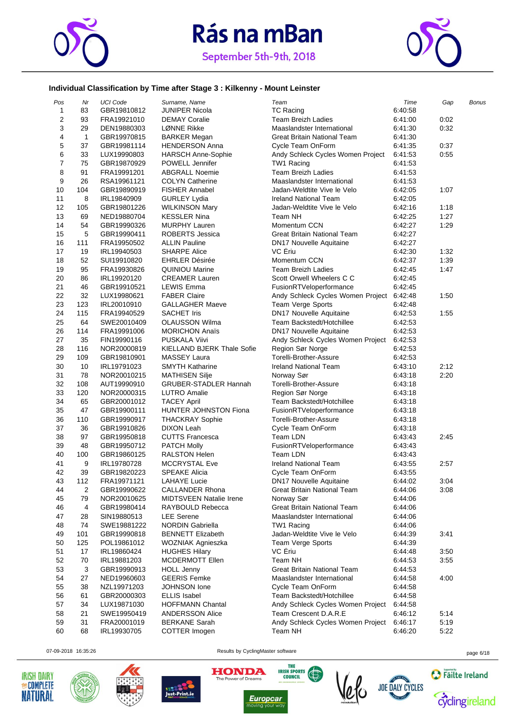



#### **Individual Classification by Time after Stage 3 : Kilkenny - Mount Leinster**

| Pos            | Nr           | <b>UCI Code</b> | Surname, Name                                 | Team                               | Time    | Gap  | <b>Bonus</b> |
|----------------|--------------|-----------------|-----------------------------------------------|------------------------------------|---------|------|--------------|
| $\mathbf{1}$   | 83           | GBR19810812     | <b>JUNIPER Nicola</b>                         | <b>TC Racing</b>                   | 6:40:58 |      |              |
| 2              | 93           | FRA19921010     | <b>DEMAY Coralie</b>                          | <b>Team Breizh Ladies</b>          | 6:41:00 | 0:02 |              |
| 3              | 29           | DEN19880303     | LØNNE Rikke                                   | Maaslandster International         | 6:41:30 | 0:32 |              |
| 4              | $\mathbf{1}$ | GBR19970815     | <b>BARKER Megan</b>                           | Great Britain National Team        | 6:41:30 |      |              |
| 5              | 37           | GBR19981114     | <b>HENDERSON Anna</b>                         | Cycle Team OnForm                  | 6:41:35 | 0:37 |              |
| 6              | 33           | LUX19990803     | <b>HARSCH Anne-Sophie</b>                     | Andy Schleck Cycles Women Project  | 6:41:53 | 0:55 |              |
| $\overline{7}$ | 75           | GBR19870929     | POWELL Jennifer                               | TW1 Racing                         | 6:41:53 |      |              |
| 8              | 91           |                 | <b>ABGRALL Noemie</b>                         | <b>Team Breizh Ladies</b>          | 6:41:53 |      |              |
|                |              | FRA19991201     |                                               |                                    |         |      |              |
| 9              | 26           | RSA19961121     | <b>COLYN Catherine</b>                        | Maaslandster International         | 6:41:53 |      |              |
| 10             | 104          | GBR19890919     | <b>FISHER Annabel</b>                         | Jadan-Weldtite Vive le Velo        | 6:42:05 | 1:07 |              |
| 11             | 8            | IRL19840909     | <b>GURLEY Lydia</b>                           | Ireland National Team              | 6:42:05 |      |              |
| 12             | 105          | GBR19801226     | <b>WILKINSON Mary</b>                         | Jadan-Weldtite Vive le Velo        | 6:42:16 | 1:18 |              |
| 13             | 69           | NED19880704     | <b>KESSLER Nina</b>                           | Team NH                            | 6:42:25 | 1:27 |              |
| 14             | 54           | GBR19990326     | <b>MURPHY Lauren</b>                          | Momentum CCN                       | 6:42:27 | 1:29 |              |
| 15             | 5            | GBR19990411     | ROBERTS Jessica                               | Great Britain National Team        | 6:42:27 |      |              |
| 16             | 111          | FRA19950502     | <b>ALLIN Pauline</b>                          | <b>DN17 Nouvelle Aquitaine</b>     | 6:42:27 |      |              |
| 17             | 19           | IRL19940503     | <b>SHARPE Alice</b>                           | VC Eriu                            | 6:42:30 | 1:32 |              |
| 18             | 52           | SUI19910820     | <b>EHRLER Désirée</b>                         | Momentum CCN                       | 6:42:37 | 1:39 |              |
| 19             | 95           | FRA19930826     | <b>QUINIOU Marine</b>                         | Team Breizh Ladies                 | 6:42:45 | 1:47 |              |
| 20             | 86           | IRL19920120     | <b>CREAMER Lauren</b>                         | Scott Orwell Wheelers C C          | 6:42:45 |      |              |
| 21             | 46           | GBR19910521     | <b>LEWIS Emma</b>                             | FusionRTVeloperformance            | 6:42:45 |      |              |
| 22             | 32           | LUX19980621     | <b>FABER Claire</b>                           | Andy Schleck Cycles Women Project  | 6:42:48 | 1:50 |              |
| 23             | 123          | IRL20010910     | <b>GALLAGHER Maeve</b>                        | Team Verge Sports                  | 6:42:48 |      |              |
| 24             |              |                 |                                               |                                    |         |      |              |
|                | 115          | FRA19940529     | <b>SACHET Iris</b>                            | DN17 Nouvelle Aquitaine            | 6:42:53 | 1:55 |              |
| 25             | 64           | SWE20010409     | <b>OLAUSSON Wilma</b>                         | Team Backstedt/Hotchillee          | 6:42:53 |      |              |
| 26             | 114          | FRA19991006     | <b>MORICHON Anaïs</b>                         | DN17 Nouvelle Aquitaine            | 6:42:53 |      |              |
| 27             | 35           | FIN19990116     | <b>PUSKALA Viivi</b>                          | Andy Schleck Cycles Women Project  | 6:42:53 |      |              |
| 28             | 116          | NOR20000819     | <b>KIELLAND BJERK Thale Sofie</b>             | Region Sør Norge                   | 6:42:53 |      |              |
| 29             | 109          | GBR19810901     | <b>MASSEY Laura</b>                           | Torelli-Brother-Assure             | 6:42:53 |      |              |
| 30             | 10           | IRL19791023     | <b>SMYTH Katharine</b>                        | <b>Ireland National Team</b>       | 6:43:10 | 2:12 |              |
| 31             | 78           | NOR20010215     | <b>MATHISEN Silje</b>                         | Norway Sør                         | 6:43:18 | 2:20 |              |
| 32             | 108          | AUT19990910     | <b>GRUBER-STADLER Hannah</b>                  | Torelli-Brother-Assure             | 6:43:18 |      |              |
| 33             | 120          | NOR20000315     | LUTRO Amalie                                  | Region Sør Norge                   | 6:43:18 |      |              |
| 34             | 65           | GBR20001012     | <b>TACEY April</b>                            | Team Backstedt/Hotchillee          | 6:43:18 |      |              |
| 35             | 47           | GBR19900111     | HUNTER JOHNSTON Fiona                         | FusionRTVeloperformance            | 6:43:18 |      |              |
| 36             | 110          | GBR19990917     | <b>THACKRAY Sophie</b>                        | Torelli-Brother-Assure             | 6:43:18 |      |              |
| 37             | 36           | GBR19910826     | <b>DIXON Leah</b>                             | Cycle Team OnForm                  | 6:43:18 |      |              |
| 38             | 97           | GBR19950818     | <b>CUTTS Francesca</b>                        | Team LDN                           | 6:43:43 | 2:45 |              |
| 39             | 48           | GBR19950712     | <b>PATCH Molly</b>                            | FusionRTVeloperformance            | 6:43:43 |      |              |
| 40             | 100          | GBR19860125     | <b>RALSTON Helen</b>                          | Team LDN                           | 6:43:43 |      |              |
| 41             | 9            | IRL19780728     | <b>MCCRYSTAL Eve</b>                          | <b>Ireland National Team</b>       | 6:43:55 | 2:57 |              |
| 42             | 39           | GBR19820223     | <b>SPEAKE Alicia</b>                          | Cycle Team OnForm                  | 6:43:55 |      |              |
| 43             | 112          |                 |                                               | <b>DN17 Nouvelle Aquitaine</b>     | 6:44:02 | 3:04 |              |
|                |              | FRA19971121     | <b>LAHAYE Lucie</b><br><b>CALLANDER Rhona</b> | <b>Great Britain National Team</b> |         |      |              |
| 44             | 2            | GBR19990622     |                                               |                                    | 6:44:06 | 3:08 |              |
| 45             | 79           | NOR20010625     | <b>MIDTSVEEN Natalie Irene</b>                | Norway Sør                         | 6:44:06 |      |              |
| 46             | 4            | GBR19980414     | RAYBOULD Rebecca                              | Great Britain National Team        | 6:44:06 |      |              |
| 47             | 28           | SIN19880513     | <b>LEE</b> Serene                             | Maaslandster International         | 6:44:06 |      |              |
| 48             | 74           | SWE19881222     | NORDIN Gabriella                              | TW1 Racing                         | 6:44:06 |      |              |
| 49             | 101          | GBR19990818     | <b>BENNETT Elizabeth</b>                      | Jadan-Weldtite Vive le Velo        | 6:44:39 | 3:41 |              |
| 50             | 125          | POL19861012     | WOZNIAK Agnieszka                             | <b>Team Verge Sports</b>           | 6:44:39 |      |              |
| 51             | 17           | IRL19860424     | <b>HUGHES Hilary</b>                          | VC Ériu                            | 6:44:48 | 3:50 |              |
| 52             | 70           | IRL19881203     | <b>MCDERMOTT Ellen</b>                        | Team NH                            | 6:44:53 | 3:55 |              |
| 53             | 3            | GBR19990913     | <b>HOLL Jenny</b>                             | Great Britain National Team        | 6:44:53 |      |              |
| 54             | 27           | NED19960603     | <b>GEERIS Femke</b>                           | Maaslandster International         | 6:44:58 | 4:00 |              |
| 55             | 38           | NZL19971203     | JOHNSON lone                                  | Cycle Team OnForm                  | 6:44:58 |      |              |
| 56             | 61           | GBR20000303     | <b>ELLIS Isabel</b>                           | Team Backstedt/Hotchillee          | 6:44:58 |      |              |
| 57             | 34           | LUX19871030     | <b>HOFFMANN Chantal</b>                       | Andy Schleck Cycles Women Project  | 6:44:58 |      |              |
| 58             | 21           | SWE19950419     | <b>ANDERSSON Alice</b>                        | Team Crescent D.A.R.E              | 6:46:12 | 5:14 |              |
| 59             | 31           | FRA20001019     | <b>BERKANE Sarah</b>                          | Andy Schleck Cycles Women Project  | 6:46:17 | 5:19 |              |
| 60             | 68           | IRL19930705     | COTTER Imogen                                 | Team NH                            | 6:46:20 | 5:22 |              |
|                |              |                 |                                               |                                    |         |      |              |











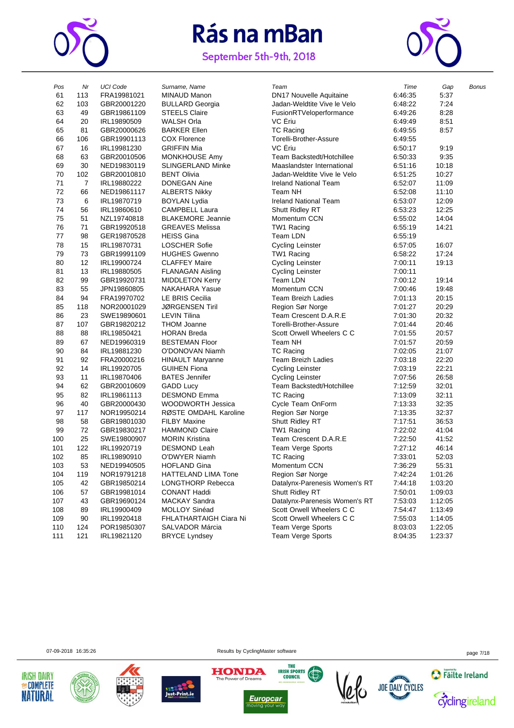

September 5th-9th, 2018



| Pos | Nr             | <b>UCI Code</b> | Surname, Name            | Team                           | Time    | Gap     | <b>Bonus</b> |
|-----|----------------|-----------------|--------------------------|--------------------------------|---------|---------|--------------|
| 61  | 113            | FRA19981021     | MINAUD Manon             | <b>DN17 Nouvelle Aquitaine</b> | 6:46:35 | 5:37    |              |
| 62  | 103            | GBR20001220     | <b>BULLARD Georgia</b>   | Jadan-Weldtite Vive le Velo    | 6:48:22 | 7:24    |              |
| 63  | 49             | GBR19861109     | <b>STEELS Claire</b>     | FusionRTVeloperformance        | 6:49:26 | 8:28    |              |
| 64  | 20             | IRL19890509     | <b>WALSH Orla</b>        | VC Eriu                        | 6:49:49 | 8:51    |              |
| 65  | 81             | GBR20000626     | <b>BARKER Ellen</b>      | <b>TC Racing</b>               | 6:49:55 | 8:57    |              |
| 66  | 106            | GBR19901113     | <b>COX Florence</b>      | Torelli-Brother-Assure         | 6:49:55 |         |              |
| 67  | 16             | IRL19981230     | <b>GRIFFIN Mia</b>       | VC Eriu                        | 6:50:17 | 9:19    |              |
| 68  | 63             | GBR20010506     | <b>MONKHOUSE Amy</b>     | Team Backstedt/Hotchillee      | 6:50:33 | 9:35    |              |
| 69  | 30             | NED19830119     | <b>SLINGERLAND Minke</b> | Maaslandster International     | 6:51:16 | 10:18   |              |
| 70  | 102            | GBR20010810     | <b>BENT Olivia</b>       | Jadan-Weldtite Vive le Velo    | 6:51:25 | 10:27   |              |
| 71  | $\overline{7}$ | IRL19880222     | <b>DONEGAN Aine</b>      | <b>Ireland National Team</b>   | 6:52:07 | 11:09   |              |
| 72  | 66             | NED19861117     | <b>ALBERTS Nikky</b>     | Team NH                        | 6:52:08 | 11:10   |              |
| 73  | 6              | IRL19870719     | <b>BOYLAN Lydia</b>      | <b>Ireland National Team</b>   | 6:53:07 | 12:09   |              |
| 74  | 56             | IRL19860610     | <b>CAMPBELL Laura</b>    | Shutt Ridley RT                | 6:53:23 | 12:25   |              |
| 75  | 51             | NZL19740818     | <b>BLAKEMORE Jeannie</b> | Momentum CCN                   | 6:55:02 | 14:04   |              |
| 76  | 71             | GBR19920518     | <b>GREAVES Melissa</b>   | TW1 Racing                     | 6:55:19 | 14:21   |              |
| 77  | 98             | GER19870528     | <b>HEISS Gina</b>        | Team LDN                       | 6:55:19 |         |              |
| 78  | 15             | IRL19870731     | <b>LOSCHER Sofie</b>     | <b>Cycling Leinster</b>        | 6:57:05 | 16:07   |              |
| 79  | 73             | GBR19991109     | <b>HUGHES Gwenno</b>     | TW1 Racing                     | 6:58:22 | 17:24   |              |
| 80  | 12             | IRL19900724     | <b>CLAFFEY Maire</b>     | <b>Cycling Leinster</b>        | 7:00:11 | 19:13   |              |
| 81  | 13             | IRL19880505     | <b>FLANAGAN Aisling</b>  | <b>Cycling Leinster</b>        | 7:00:11 |         |              |
| 82  | 99             | GBR19920731     | <b>MIDDLETON Kerry</b>   | Team LDN                       | 7:00:12 | 19:14   |              |
| 83  | 55             | JPN19860805     | NAKAHARA Yasue           | Momentum CCN                   | 7:00:46 | 19:48   |              |
| 84  | 94             | FRA19970702     | LE BRIS Cecilia          | <b>Team Breizh Ladies</b>      | 7:01:13 | 20:15   |              |
| 85  | 118            | NOR20001029     | <b>JØRGENSEN Tiril</b>   | Region Sør Norge               | 7:01:27 | 20:29   |              |
| 86  | 23             | SWE19890601     | <b>LEVIN Tilina</b>      | Team Crescent D.A.R.E          | 7:01:30 | 20:32   |              |
| 87  | 107            | GBR19820212     | <b>THOM Joanne</b>       | Torelli-Brother-Assure         | 7:01:44 | 20:46   |              |
| 88  | 88             | IRL19850421     | <b>HORAN Breda</b>       | Scott Orwell Wheelers C C      | 7:01:55 | 20:57   |              |
| 89  | 67             | NED19960319     | <b>BESTEMAN Floor</b>    | Team NH                        | 7:01:57 | 20:59   |              |
| 90  | 84             | IRL19881230     | O'DONOVAN Niamh          | <b>TC Racing</b>               | 7:02:05 | 21:07   |              |
| 91  | 92             | FRA20000216     | <b>HINAULT Maryanne</b>  | <b>Team Breizh Ladies</b>      | 7:03:18 | 22:20   |              |
| 92  | 14             | IRL19920705     | <b>GUIHEN Fiona</b>      | <b>Cycling Leinster</b>        | 7:03:19 | 22:21   |              |
| 93  | 11             | IRL19870406     | <b>BATES</b> Jennifer    | <b>Cycling Leinster</b>        | 7:07:56 | 26:58   |              |
| 94  | 62             | GBR20010609     | <b>GADD Lucy</b>         | Team Backstedt/Hotchillee      | 7:12:59 | 32:01   |              |
| 95  | 82             | IRL19861113     | <b>DESMOND Emma</b>      | <b>TC Racing</b>               | 7:13:09 | 32:11   |              |
| 96  | 40             | GBR20000430     | <b>WOODWORTH Jessica</b> | Cycle Team OnForm              | 7:13:33 | 32:35   |              |
| 97  | 117            | NOR19950214     | RØSTE OMDAHL Karoline    | Region Sør Norge               | 7:13:35 | 32:37   |              |
| 98  | 58             | GBR19801030     | <b>FILBY Maxine</b>      | Shutt Ridley RT                | 7:17:51 | 36:53   |              |
| 99  | 72             | GBR19830217     | <b>HAMMOND Claire</b>    | TW1 Racing                     | 7:22:02 | 41:04   |              |
| 00  | 25             | SWE19800907     | <b>MORIN Kristina</b>    | Team Crescent D.A.R.E          | 7:22:50 | 41:52   |              |
| 101 | 122            | IRL19920719     | <b>DESMOND Leah</b>      | Team Verge Sports              | 7:27:12 | 46:14   |              |
| 02  | 85             | IRL19890910     | O'DWYER Niamh            | <b>TC Racing</b>               | 7:33:01 | 52:03   |              |
| 103 | 53             | NED19940505     | <b>HOFLAND Gina</b>      | Momentum CCN                   | 7:36:29 | 55:31   |              |
| 104 | 119            | NOR19791218     | HATTELAND LIMA Tone      | Region Sør Norge               | 7:42:24 | 1:01:26 |              |
| 105 | 42             | GBR19850214     | LONGTHORP Rebecca        | Datalynx-Parenesis Women's RT  | 7:44:18 | 1:03:20 |              |
| 106 | 57             | GBR19981014     | <b>CONANT Haddi</b>      | Shutt Ridley RT                | 7:50:01 | 1:09:03 |              |
| 107 | 43             | GBR19690124     | <b>MACKAY Sandra</b>     | Datalynx-Parenesis Women's RT  | 7:53:03 | 1:12:05 |              |
| 108 | 89             | IRL19900409     | MOLLOY Sinéad            | Scott Orwell Wheelers C C      | 7:54:47 | 1:13:49 |              |
| 109 | 90             | IRL19920418     | FHLATHARTAIGH Ciara Ni   | Scott Orwell Wheelers C C      | 7:55:03 | 1:14:05 |              |
| 110 | 124            | POR19850307     | <b>SALVADOR Márcia</b>   | <b>Team Verge Sports</b>       | 8:03:03 | 1:22:05 |              |
| 111 | 121            | IRL19821120     | <b>BRYCE Lyndsey</b>     | Team Verge Sports              | 8:04:35 | 1:23:37 |              |
|     |                |                 |                          |                                |         |         |              |







07-09-2018 16:35:26 **Page 7/18** Results by CyclingMaster software **page 7/18** Page 7/18

**HONDA** 



THE

**IRISH SPORTS** 



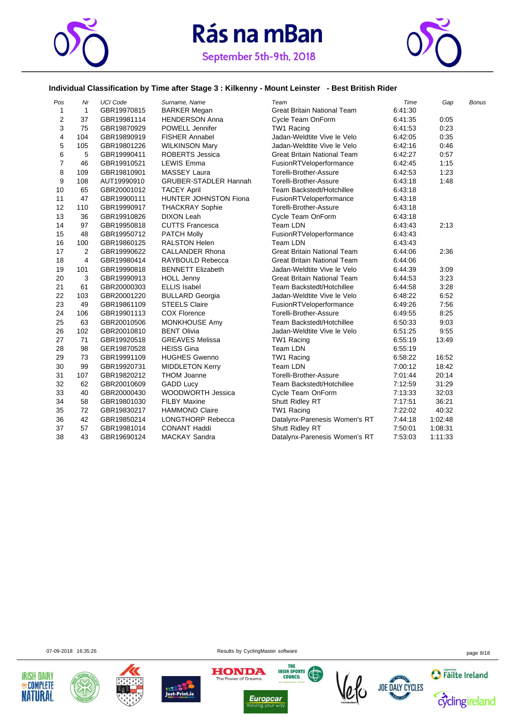



#### **Individual Classification by Time after Stage 3 : Kilkenny - Mount Leinster - Best British Rider**

| Pos                     | Nr                      | <b>UCI Code</b> | Surname, Name                | Team                               | Time    | Gap     | <b>Bonus</b> |
|-------------------------|-------------------------|-----------------|------------------------------|------------------------------------|---------|---------|--------------|
| 1                       | $\mathbf{1}$            | GBR19970815     | <b>BARKER Megan</b>          | <b>Great Britain National Team</b> | 6:41:30 |         |              |
| $\overline{\mathbf{c}}$ | 37                      | GBR19981114     | <b>HENDERSON Anna</b>        | Cycle Team OnForm                  | 6:41:35 | 0:05    |              |
| 3                       | 75                      | GBR19870929     | <b>POWELL Jennifer</b>       | TW1 Racing                         | 6:41:53 | 0:23    |              |
| 4                       | 104                     | GBR19890919     | FISHER Annabel               | Jadan-Weldtite Vive le Velo        | 6:42:05 | 0:35    |              |
| 5                       | 105                     | GBR19801226     | <b>WILKINSON Mary</b>        | Jadan-Weldtite Vive le Velo        | 6:42:16 | 0:46    |              |
| 6                       | 5                       | GBR19990411     | <b>ROBERTS Jessica</b>       | <b>Great Britain National Team</b> | 6:42:27 | 0:57    |              |
| $\overline{7}$          | 46                      | GBR19910521     | <b>LEWIS Emma</b>            | FusionRTVeloperformance            | 6:42:45 | 1:15    |              |
| 8                       | 109                     | GBR19810901     | <b>MASSEY Laura</b>          | Torelli-Brother-Assure             | 6:42:53 | 1:23    |              |
| 9                       | 108                     | AUT19990910     | <b>GRUBER-STADLER Hannah</b> | Torelli-Brother-Assure             | 6:43:18 | 1:48    |              |
| 10                      | 65                      | GBR20001012     | <b>TACEY April</b>           | Team Backstedt/Hotchillee          | 6:43:18 |         |              |
| 11                      | 47                      | GBR19900111     | HUNTER JOHNSTON Fiona        | FusionRTVeloperformance            | 6:43:18 |         |              |
| 12                      | 110                     | GBR19990917     | <b>THACKRAY Sophie</b>       | Torelli-Brother-Assure             | 6:43:18 |         |              |
| 13                      | 36                      | GBR19910826     | <b>DIXON Leah</b>            | Cycle Team OnForm                  | 6:43:18 |         |              |
| 14                      | 97                      | GBR19950818     | <b>CUTTS Francesca</b>       | Team LDN                           | 6:43:43 | 2:13    |              |
| 15                      | 48                      | GBR19950712     | <b>PATCH Molly</b>           | FusionRTVeloperformance            | 6.43.43 |         |              |
| 16                      | 100                     | GBR19860125     | <b>RALSTON Helen</b>         | Team LDN                           | 6:43:43 |         |              |
| 17                      | 2                       | GBR19990622     | <b>CALLANDER Rhona</b>       | <b>Great Britain National Team</b> | 6:44:06 | 2:36    |              |
| 18                      | $\overline{\mathbf{4}}$ | GBR19980414     | RAYBOULD Rebecca             | <b>Great Britain National Team</b> | 6:44:06 |         |              |
| 19                      | 101                     | GBR19990818     | <b>BENNETT Elizabeth</b>     | Jadan-Weldtite Vive le Velo        | 6:44:39 | 3:09    |              |
| 20                      | 3                       | GBR19990913     | <b>HOLL Jenny</b>            | <b>Great Britain National Team</b> | 6:44:53 | 3:23    |              |
| 21                      | 61                      | GBR20000303     | <b>ELLIS Isabel</b>          | Team Backstedt/Hotchillee          | 6:44:58 | 3:28    |              |
| 22                      | 103                     | GBR20001220     | <b>BULLARD Georgia</b>       | Jadan-Weldtite Vive le Velo        | 6:48:22 | 6:52    |              |
| 23                      | 49                      | GBR19861109     | <b>STEELS Claire</b>         | FusionRTVeloperformance            | 6:49:26 | 7:56    |              |
| 24                      | 106                     | GBR19901113     | <b>COX Florence</b>          | Torelli-Brother-Assure             | 6:49:55 | 8:25    |              |
| 25                      | 63                      | GBR20010506     | <b>MONKHOUSE Amy</b>         | Team Backstedt/Hotchillee          | 6:50:33 | 9:03    |              |
| 26                      | 102                     | GBR20010810     | <b>BENT Olivia</b>           | Jadan-Weldtite Vive le Velo        | 6:51:25 | 9:55    |              |
| 27                      | 71                      | GBR19920518     | <b>GREAVES Melissa</b>       | TW1 Racing                         | 6:55:19 | 13:49   |              |
| 28                      | 98                      | GER19870528     | <b>HEISS Gina</b>            | Team LDN                           | 6:55:19 |         |              |
| 29                      | 73                      | GBR19991109     | <b>HUGHES Gwenno</b>         | TW1 Racing                         | 6:58:22 | 16:52   |              |
| 30                      | 99                      | GBR19920731     | <b>MIDDLETON Kerry</b>       | Team LDN                           | 7:00:12 | 18:42   |              |
| 31                      | 107                     | GBR19820212     | <b>THOM Joanne</b>           | Torelli-Brother-Assure             | 7:01:44 | 20:14   |              |
| 32                      | 62                      | GBR20010609     | <b>GADD Lucy</b>             | Team Backstedt/Hotchillee          | 7:12:59 | 31:29   |              |
| 33                      | 40                      | GBR20000430     | <b>WOODWORTH Jessica</b>     | Cycle Team OnForm                  | 7:13:33 | 32:03   |              |
| 34                      | 58                      | GBR19801030     | <b>FILBY Maxine</b>          | Shutt Ridley RT                    | 7:17:51 | 36:21   |              |
| 35                      | 72                      | GBR19830217     | <b>HAMMOND Claire</b>        | TW1 Racing                         | 7:22:02 | 40:32   |              |
| 36                      | 42                      | GBR19850214     | <b>LONGTHORP Rebecca</b>     | Datalynx-Parenesis Women's RT      | 7:44:18 | 1:02:48 |              |
| 37                      | 57                      | GBR19981014     | <b>CONANT Haddi</b>          | Shutt Ridley RT                    | 7:50:01 | 1:08:31 |              |
| 38                      | 43                      | GBR19690124     | <b>MACKAY Sandra</b>         | Datalynx-Parenesis Women's RT      | 7:53:03 | 1:11:33 |              |

07-09-2018 16:35:26 page 8/18











 $\overline{\overline{\mathsf{w}}}$ 



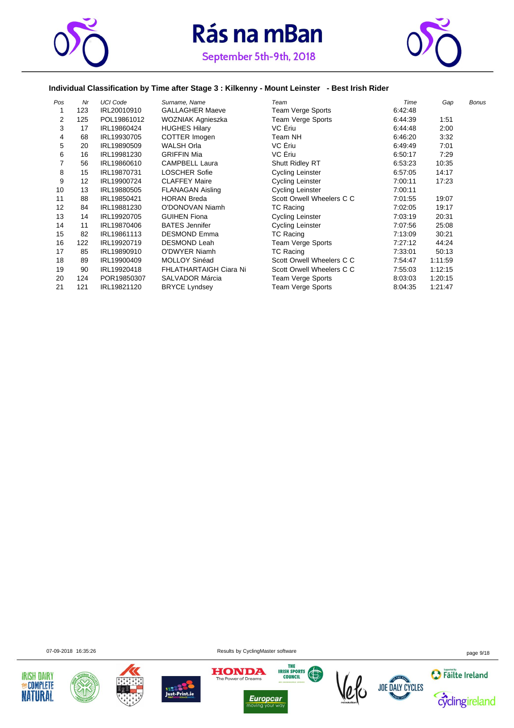



#### **Individual Classification by Time after Stage 3 : Kilkenny - Mount Leinster - Best Irish Rider**

| Pos            | Nr  | <b>UCI Code</b> | Surname, Name                 | Team                      | Time    | Gap     | <b>Bonus</b> |
|----------------|-----|-----------------|-------------------------------|---------------------------|---------|---------|--------------|
| 1              | 123 | IRL20010910     | <b>GALLAGHER Maeve</b>        | Team Verge Sports         | 6:42:48 |         |              |
| 2              | 125 | POL19861012     | WOZNIAK Agnieszka             | Team Verge Sports         | 6:44:39 | 1:51    |              |
| 3              | 17  | IRL19860424     | <b>HUGHES Hilary</b>          | VC Eriu                   | 6:44:48 | 2:00    |              |
| 4              | 68  | IRL19930705     | COTTER Imogen                 | Team NH                   | 6:46:20 | 3:32    |              |
| 5              | 20  | IRL19890509     | <b>WALSH Orla</b>             | VC Ériu                   | 6:49:49 | 7:01    |              |
| 6              | 16  | IRL19981230     | <b>GRIFFIN Mia</b>            | VC Ériu                   | 6:50:17 | 7:29    |              |
| $\overline{7}$ | 56  | IRL19860610     | <b>CAMPBELL Laura</b>         | Shutt Ridley RT           | 6:53:23 | 10:35   |              |
| 8              | 15  | IRL19870731     | <b>LOSCHER Sofie</b>          | <b>Cycling Leinster</b>   | 6:57:05 | 14:17   |              |
| 9              | 12  | IRL19900724     | <b>CLAFFEY Maire</b>          | <b>Cycling Leinster</b>   | 7:00:11 | 17:23   |              |
| 10             | 13  | IRL19880505     | <b>FLANAGAN Aisling</b>       | <b>Cycling Leinster</b>   | 7:00:11 |         |              |
| 11             | 88  | IRL19850421     | <b>HORAN Breda</b>            | Scott Orwell Wheelers C C | 7:01:55 | 19:07   |              |
| 12             | 84  | IRL19881230     | O'DONOVAN Niamh               | <b>TC Racing</b>          | 7:02:05 | 19:17   |              |
| 13             | 14  | IRL19920705     | <b>GUIHEN Fiona</b>           | <b>Cycling Leinster</b>   | 7:03:19 | 20:31   |              |
| 14             | 11  | IRL19870406     | <b>BATES</b> Jennifer         | Cycling Leinster          | 7:07:56 | 25:08   |              |
| 15             | 82  | IRL19861113     | <b>DESMOND Emma</b>           | TC Racing                 | 7:13:09 | 30:21   |              |
| 16             | 122 | IRL19920719     | <b>DESMOND Leah</b>           | Team Verge Sports         | 7:27:12 | 44:24   |              |
| 17             | 85  | IRL19890910     | O'DWYER Niamh                 | <b>TC Racing</b>          | 7:33:01 | 50:13   |              |
| 18             | 89  | IRL19900409     | MOLLOY Sinéad                 | Scott Orwell Wheelers C C | 7:54:47 | 1:11:59 |              |
| 19             | 90  | IRL19920418     | <b>FHLATHARTAIGH Ciara Ni</b> | Scott Orwell Wheelers C C | 7:55:03 | 1:12:15 |              |
| 20             | 124 | POR19850307     | <b>SALVADOR Márcia</b>        | Team Verge Sports         | 8:03:03 | 1:20:15 |              |
| 21             | 121 | IRL19821120     | <b>BRYCE Lyndsey</b>          | Team Verge Sports         | 8:04:35 | 1:21:47 |              |

07-09-2018 16:35:26 page 9/18













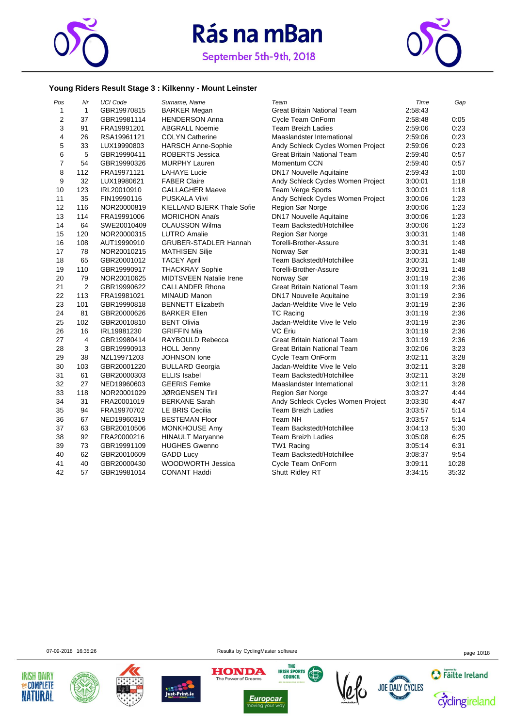



#### **Young Riders Result Stage 3 : Kilkenny - Mount Leinster**

| Pos              | Nr             | <b>UCI Code</b> | Surname, Name                  | Team                               | Time    | Gap   |
|------------------|----------------|-----------------|--------------------------------|------------------------------------|---------|-------|
| 1                | $\mathbf{1}$   | GBR19970815     | <b>BARKER Megan</b>            | <b>Great Britain National Team</b> | 2:58:43 |       |
| $\overline{2}$   | 37             | GBR19981114     | <b>HENDERSON Anna</b>          | Cycle Team OnForm                  | 2:58:48 | 0:05  |
| 3                | 91             | FRA19991201     | <b>ABGRALL Noemie</b>          | <b>Team Breizh Ladies</b>          | 2:59:06 | 0:23  |
| 4                | 26             | RSA19961121     | <b>COLYN Catherine</b>         | Maaslandster International         | 2:59:06 | 0:23  |
| 5                | 33             | LUX19990803     | <b>HARSCH Anne-Sophie</b>      | Andy Schleck Cycles Women Project  | 2:59:06 | 0:23  |
| 6                | 5              | GBR19990411     | ROBERTS Jessica                | <b>Great Britain National Team</b> | 2:59:40 | 0:57  |
| $\boldsymbol{7}$ | 54             | GBR19990326     | <b>MURPHY Lauren</b>           | Momentum CCN                       | 2:59:40 | 0:57  |
| 8                | 112            | FRA19971121     | <b>LAHAYE Lucie</b>            | <b>DN17 Nouvelle Aquitaine</b>     | 2:59:43 | 1:00  |
| 9                | 32             | LUX19980621     | <b>FABER Claire</b>            | Andy Schleck Cycles Women Project  | 3:00:01 | 1:18  |
| 10               | 123            | IRL20010910     | <b>GALLAGHER Maeve</b>         | Team Verge Sports                  | 3:00:01 | 1:18  |
| 11               | 35             | FIN19990116     | <b>PUSKALA Viivi</b>           | Andy Schleck Cycles Women Project  | 3:00:06 | 1:23  |
| 12               | 116            | NOR20000819     | KIELLAND BJERK Thale Sofie     | Region Sør Norge                   | 3.00.06 | 1:23  |
| 13               | 114            | FRA19991006     | <b>MORICHON Anaïs</b>          | <b>DN17 Nouvelle Aquitaine</b>     | 3:00:06 | 1:23  |
| 14               | 64             | SWE20010409     | <b>OLAUSSON Wilma</b>          | Team Backstedt/Hotchillee          | 3:00:06 | 1:23  |
| 15               | 120            | NOR20000315     | <b>LUTRO Amalie</b>            | Region Sør Norge                   | 3:00:31 | 1:48  |
| 16               | 108            | AUT19990910     | <b>GRUBER-STADLER Hannah</b>   | Torelli-Brother-Assure             | 3:00:31 | 1:48  |
| 17               | 78             | NOR20010215     | <b>MATHISEN Silje</b>          | Norway Sør                         | 3:00:31 | 1:48  |
| 18               | 65             | GBR20001012     | <b>TACEY April</b>             | Team Backstedt/Hotchillee          | 3:00:31 | 1:48  |
| 19               | 110            | GBR19990917     | <b>THACKRAY Sophie</b>         | Torelli-Brother-Assure             | 3:00:31 | 1:48  |
| 20               | 79             | NOR20010625     | <b>MIDTSVEEN Natalie Irene</b> | Norway Sør                         | 3.01.19 | 2:36  |
| 21               | $\overline{2}$ | GBR19990622     | <b>CALLANDER Rhona</b>         | <b>Great Britain National Team</b> | 3:01:19 | 2:36  |
| 22               | 113            | FRA19981021     | MINAUD Manon                   | <b>DN17 Nouvelle Aquitaine</b>     | 3:01:19 | 2:36  |
| 23               | 101            | GBR19990818     | <b>BENNETT Elizabeth</b>       | Jadan-Weldtite Vive le Velo        | 3.01.19 | 2:36  |
| 24               | 81             | GBR20000626     | <b>BARKER Ellen</b>            | <b>TC Racing</b>                   | 3:01:19 | 2:36  |
| 25               | 102            | GBR20010810     | <b>BENT Olivia</b>             | Jadan-Weldtite Vive le Velo        | 3:01:19 | 2:36  |
| 26               | 16             | IRL19981230     | <b>GRIFFIN Mia</b>             | VC Eriu                            | 3:01:19 | 2:36  |
| 27               | $\overline{4}$ | GBR19980414     | RAYBOULD Rebecca               | <b>Great Britain National Team</b> | 3:01:19 | 2:36  |
| 28               | 3              | GBR19990913     | <b>HOLL Jenny</b>              | Great Britain National Team        | 3:02:06 | 3:23  |
| 29               | 38             | NZL19971203     | JOHNSON lone                   | Cycle Team OnForm                  | 3:02:11 | 3:28  |
| 30               | 103            | GBR20001220     | <b>BULLARD Georgia</b>         | Jadan-Weldtite Vive le Velo        | 3:02:11 | 3:28  |
| 31               | 61             | GBR20000303     | <b>ELLIS Isabel</b>            | Team Backstedt/Hotchillee          | 3:02:11 | 3:28  |
| 32               | 27             | NED19960603     | <b>GEERIS Femke</b>            | Maaslandster International         | 3:02:11 | 3:28  |
| 33               | 118            | NOR20001029     | <b>JØRGENSEN Tiril</b>         | Region Sør Norge                   | 3.03.27 | 4:44  |
| 34               | 31             | FRA20001019     | <b>BERKANE Sarah</b>           | Andy Schleck Cycles Women Project  | 3:03:30 | 4:47  |
| 35               | 94             | FRA19970702     | LE BRIS Cecilia                | <b>Team Breizh Ladies</b>          | 3:03:57 | 5:14  |
| 36               | 67             | NED19960319     | <b>BESTEMAN Floor</b>          | Team NH                            | 3:03:57 | 5:14  |
| 37               | 63             | GBR20010506     | MONKHOUSE Amy                  | Team Backstedt/Hotchillee          | 3:04:13 | 5:30  |
| 38               | 92             | FRA20000216     | <b>HINAULT Maryanne</b>        | <b>Team Breizh Ladies</b>          | 3:05:08 | 6:25  |
| 39               | 73             | GBR19991109     | <b>HUGHES Gwenno</b>           | TW1 Racing                         | 3:05:14 | 6:31  |
| 40               | 62             | GBR20010609     | <b>GADD Lucy</b>               | Team Backstedt/Hotchillee          | 3:08:37 | 9:54  |
| 41               | 40             | GBR20000430     | WOODWORTH Jessica              | Cycle Team OnForm                  | 3.09.11 | 10:28 |
| 42               | 57             | GBR19981014     | <b>CONANT Haddi</b>            | Shutt Ridley RT                    | 3:34:15 | 35:32 |













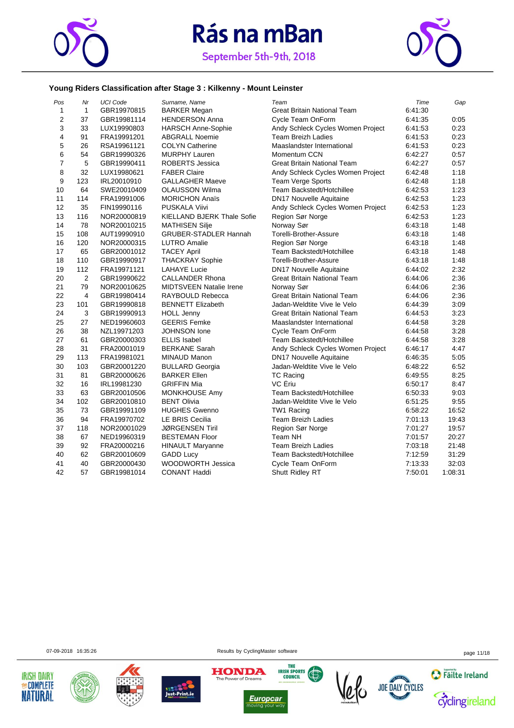



#### **Young Riders Classification after Stage 3 : Kilkenny - Mount Leinster**

| Pos            | Nr             | <b>UCI Code</b> | Surname, Name                     | Team                               | Time    | Gap     |
|----------------|----------------|-----------------|-----------------------------------|------------------------------------|---------|---------|
| $\mathbf{1}$   | $\mathbf{1}$   | GBR19970815     | <b>BARKER Megan</b>               | Great Britain National Team        | 6:41:30 |         |
| $\overline{2}$ | 37             | GBR19981114     | <b>HENDERSON Anna</b>             | Cycle Team OnForm                  | 6:41:35 | 0:05    |
| 3              | 33             | LUX19990803     | <b>HARSCH Anne-Sophie</b>         | Andy Schleck Cycles Women Project  | 6:41:53 | 0:23    |
| $\overline{4}$ | 91             | FRA19991201     | <b>ABGRALL Noemie</b>             | Team Breizh Ladies                 | 6:41:53 | 0:23    |
| 5              | 26             | RSA19961121     | <b>COLYN Catherine</b>            | Maaslandster International         | 6:41:53 | 0:23    |
| 6              | 54             | GBR19990326     | <b>MURPHY Lauren</b>              | Momentum CCN                       | 6:42:27 | 0:57    |
| $\overline{7}$ | 5              | GBR19990411     | <b>ROBERTS Jessica</b>            | Great Britain National Team        | 6:42:27 | 0:57    |
| 8              | 32             | LUX19980621     | <b>FABER Claire</b>               | Andy Schleck Cycles Women Project  | 6:42:48 | 1:18    |
| 9              | 123            | IRL20010910     | <b>GALLAGHER Maeve</b>            | Team Verge Sports                  | 6:42:48 | 1:18    |
| 10             | 64             | SWE20010409     | <b>OLAUSSON Wilma</b>             | Team Backstedt/Hotchillee          | 6:42:53 | 1:23    |
| 11             | 114            | FRA19991006     | <b>MORICHON Anaïs</b>             | <b>DN17 Nouvelle Aquitaine</b>     | 6:42:53 | 1:23    |
| 12             | 35             | FIN19990116     | PUSKALA Viivi                     | Andy Schleck Cycles Women Project  | 6:42:53 | 1:23    |
| 13             | 116            | NOR20000819     | <b>KIELLAND BJERK Thale Sofie</b> | Region Sør Norge                   | 6:42:53 | 1:23    |
| 14             | 78             | NOR20010215     | <b>MATHISEN Silje</b>             | Norway Sør                         | 6:43:18 | 1:48    |
| 15             | 108            | AUT19990910     | <b>GRUBER-STADLER Hannah</b>      | Torelli-Brother-Assure             | 6:43:18 | 1:48    |
| 16             | 120            | NOR20000315     | <b>LUTRO Amalie</b>               | Region Sør Norge                   | 6:43:18 | 1:48    |
| 17             | 65             | GBR20001012     | <b>TACEY April</b>                | Team Backstedt/Hotchillee          | 6:43:18 | 1:48    |
| 18             | 110            | GBR19990917     | <b>THACKRAY Sophie</b>            | Torelli-Brother-Assure             | 6:43:18 | 1:48    |
| 19             | 112            | FRA19971121     | <b>LAHAYE Lucie</b>               | <b>DN17 Nouvelle Aquitaine</b>     | 6:44:02 | 2:32    |
| 20             | $\overline{2}$ | GBR19990622     | <b>CALLANDER Rhona</b>            | <b>Great Britain National Team</b> | 6:44:06 | 2:36    |
| 21             | 79             | NOR20010625     | <b>MIDTSVEEN Natalie Irene</b>    | Norway Sør                         | 6:44:06 | 2:36    |
| 22             | 4              | GBR19980414     | RAYBOULD Rebecca                  | Great Britain National Team        | 6:44:06 | 2:36    |
| 23             | 101            | GBR19990818     | <b>BENNETT Elizabeth</b>          | Jadan-Weldtite Vive le Velo        | 6:44:39 | 3:09    |
| 24             | 3              | GBR19990913     | <b>HOLL Jenny</b>                 | Great Britain National Team        | 6:44:53 | 3:23    |
| 25             | 27             | NED19960603     | <b>GEERIS Femke</b>               | Maaslandster International         | 6:44:58 | 3:28    |
| 26             | 38             | NZL19971203     | <b>JOHNSON</b> lone               | Cycle Team OnForm                  | 6:44:58 | 3:28    |
| 27             | 61             | GBR20000303     | <b>ELLIS</b> Isabel               | Team Backstedt/Hotchillee          | 6:44:58 | 3:28    |
| 28             | 31             | FRA20001019     | <b>BERKANE Sarah</b>              | Andy Schleck Cycles Women Project  | 6:46:17 | 4:47    |
| 29             | 113            | FRA19981021     | MINAUD Manon                      | <b>DN17 Nouvelle Aquitaine</b>     | 6:46:35 | 5:05    |
| 30             | 103            | GBR20001220     | <b>BULLARD Georgia</b>            | Jadan-Weldtite Vive le Velo        | 6:48:22 | 6:52    |
| 31             | 81             | GBR20000626     | <b>BARKER Ellen</b>               | <b>TC Racing</b>                   | 6:49:55 | 8:25    |
| 32             | 16             | IRL19981230     | <b>GRIFFIN Mia</b>                | VC Ériu                            | 6:50:17 | 8:47    |
| 33             | 63             | GBR20010506     | <b>MONKHOUSE Amy</b>              | Team Backstedt/Hotchillee          | 6:50:33 | 9:03    |
| 34             | 102            | GBR20010810     | <b>BENT Olivia</b>                | Jadan-Weldtite Vive le Velo        | 6:51:25 | 9:55    |
| 35             | 73             | GBR19991109     | <b>HUGHES Gwenno</b>              | TW1 Racing                         | 6:58:22 | 16:52   |
| 36             | 94             | FRA19970702     | <b>LE BRIS Cecilia</b>            | <b>Team Breizh Ladies</b>          | 7:01:13 | 19:43   |
| 37             | 118            | NOR20001029     | <b>JØRGENSEN Tiril</b>            | Region Sør Norge                   | 7:01:27 | 19:57   |
| 38             | 67             | NED19960319     | <b>BESTEMAN Floor</b>             | Team NH                            | 7:01:57 | 20:27   |
| 39             | 92             | FRA20000216     | <b>HINAULT Maryanne</b>           | <b>Team Breizh Ladies</b>          | 7:03:18 | 21:48   |
| 40             | 62             | GBR20010609     | <b>GADD Lucy</b>                  | Team Backstedt/Hotchillee          | 7:12:59 | 31:29   |
| 41             | 40             | GBR20000430     | WOODWORTH Jessica                 | Cycle Team OnForm                  | 7:13:33 | 32:03   |
| 42             | 57             | GBR19981014     | <b>CONANT Haddi</b>               | Shutt Ridley RT                    | 7:50:01 | 1:08:31 |

07-09-2018 16:35:26 page 11/18













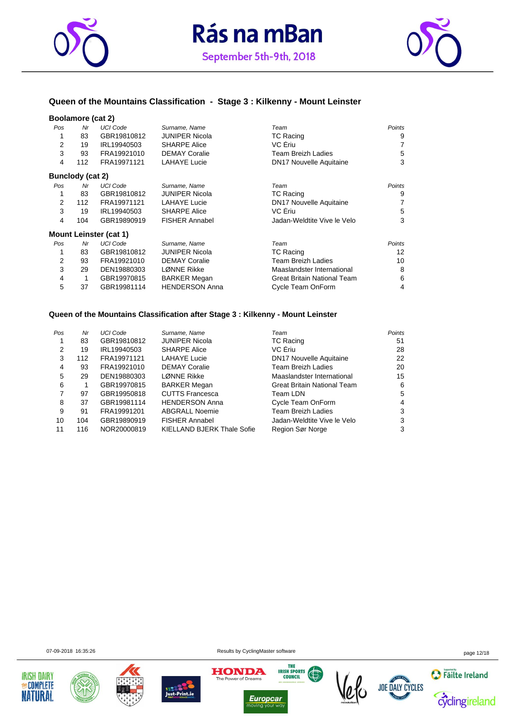



#### **Queen of the Mountains Classification - Stage 3 : Kilkenny - Mount Leinster**

#### **Boolamore (cat 2)**

| Pos            | Nr               | <b>UCI Code</b>               | Surname, Name         | Team                           | Points |
|----------------|------------------|-------------------------------|-----------------------|--------------------------------|--------|
| 1              | 83               | GBR19810812                   | <b>JUNIPER Nicola</b> | <b>TC Racing</b>               | 9      |
| $\overline{2}$ | 19               | IRL19940503                   | <b>SHARPE Alice</b>   | VC Eriu                        | 7      |
| 3              | 93               | FRA19921010                   | <b>DEMAY Coralie</b>  | <b>Team Breizh Ladies</b>      | 5      |
| 4              | 112              | FRA19971121                   | <b>LAHAYE Lucie</b>   | <b>DN17 Nouvelle Aquitaine</b> | 3      |
|                | Bunclody (cat 2) |                               |                       |                                |        |
| Pos            | Nr               | <b>UCI Code</b>               | Surname, Name         | Team                           | Points |
| 1              | 83               | GBR19810812                   | <b>JUNIPER Nicola</b> | <b>TC Racing</b>               | 9      |
| 2              | 112              | FRA19971121                   | <b>LAHAYE Lucie</b>   | <b>DN17 Nouvelle Aquitaine</b> | 7      |
| 3              | 19               | IRL19940503                   | <b>SHARPE Alice</b>   | VC Eriu                        | 5      |
| 4              | 104              | GBR19890919                   | <b>FISHER Annabel</b> | Jadan-Weldtite Vive le Velo    | 3      |
|                |                  | <b>Mount Leinster (cat 1)</b> |                       |                                |        |
| Pos            | Nr               | <b>UCI Code</b>               | Surname, Name         | Team                           | Points |
| 1              | 83               | GBR19810812                   | <b>JUNIPER Nicola</b> | <b>TC Racing</b>               | 12     |
| 2              | 93               | FRA19921010                   | <b>DEMAY Coralie</b>  | <b>Team Breizh Ladies</b>      | 10     |
| 3              | 29               | DEN19880303                   | LØNNE Rikke           | Maaslandster International     | 8      |
| 4              |                  | GBR19970815                   | <b>BARKER Megan</b>   | Great Britain National Team    | 6      |
| 5              | 37               | GBR19981114                   | <b>HENDERSON Anna</b> | Cycle Team OnForm              | 4      |

#### **Queen of the Mountains Classification after Stage 3 : Kilkenny - Mount Leinster**

| Pos | Nr  | <b>UCI Code</b> | Surname, Name              | Team                               | Points |
|-----|-----|-----------------|----------------------------|------------------------------------|--------|
|     | 83  | GBR19810812     | <b>JUNIPER Nicola</b>      | <b>TC Racing</b>                   | 51     |
| 2   | 19  | IRL19940503     | <b>SHARPE Alice</b>        | VC Ériu                            | 28     |
| 3   | 112 | FRA19971121     | <b>LAHAYE Lucie</b>        | <b>DN17 Nouvelle Aquitaine</b>     | 22     |
| 4   | 93  | FRA19921010     | <b>DEMAY Coralie</b>       | <b>Team Breizh Ladies</b>          | 20     |
| 5   | 29  | DEN19880303     | LØNNE Rikke                | Maaslandster International         | 15     |
| 6   |     | GBR19970815     | <b>BARKER Megan</b>        | <b>Great Britain National Team</b> | 6      |
|     | 97  | GBR19950818     | <b>CUTTS Francesca</b>     | Team LDN                           | 5      |
| 8   | 37  | GBR19981114     | <b>HENDERSON Anna</b>      | Cycle Team OnForm                  | 4      |
| 9   | 91  | FRA19991201     | <b>ABGRALL Noemie</b>      | <b>Team Breizh Ladies</b>          | 3      |
| 10  | 104 | GBR19890919     | <b>FISHER Annabel</b>      | Jadan-Weldtite Vive le Velo        | 3      |
| 11  | 116 | NOR20000819     | KIELLAND BJERK Thale Sofie | Region Sør Norge                   | 3      |

07-09-2018 16:35:26 page 12/18











**Europcar**  $\overline{\overline{\mathsf{w}}}$ 



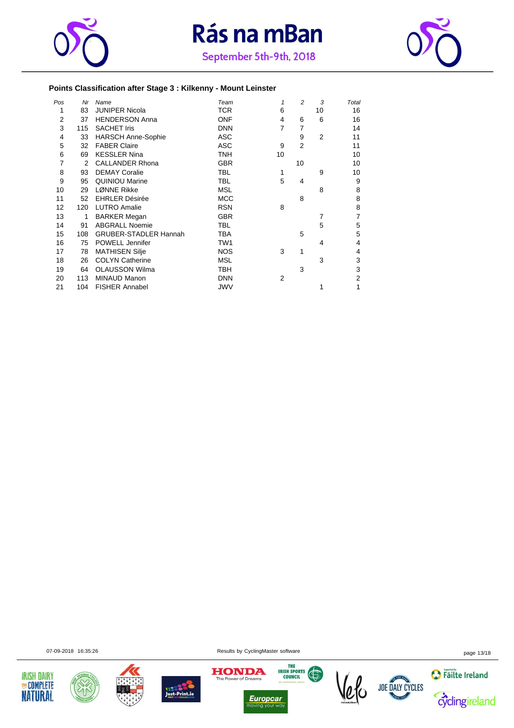



#### **Points Classification after Stage 3 : Kilkenny - Mount Leinster**

| Pos            | Nr  | Name                         | Team            | 1  | $\overline{c}$ | 3              | Total |
|----------------|-----|------------------------------|-----------------|----|----------------|----------------|-------|
| 1              | 83  | <b>JUNIPER Nicola</b>        | <b>TCR</b>      | 6  |                | 10             | 16    |
| $\overline{2}$ | 37  | <b>HENDERSON Anna</b>        | <b>ONF</b>      | 4  | 6              | 6              | 16    |
| 3              | 115 | <b>SACHET Iris</b>           | <b>DNN</b>      | 7  | 7              |                | 14    |
| 4              | 33  | <b>HARSCH Anne-Sophie</b>    | <b>ASC</b>      |    | 9              | $\overline{2}$ | 11    |
| 5              | 32  | <b>FABER Claire</b>          | <b>ASC</b>      | 9  | $\overline{2}$ |                | 11    |
| 6              | 69  | <b>KESSLER Nina</b>          | <b>TNH</b>      | 10 |                |                | 10    |
| 7              | 2   | <b>CALLANDER Rhona</b>       | <b>GBR</b>      |    | 10             |                | 10    |
| 8              | 93  | <b>DEMAY Coralie</b>         | <b>TBL</b>      | 1  |                | 9              | 10    |
| 9              | 95  | <b>QUINIOU Marine</b>        | <b>TBL</b>      | 5  | 4              |                | 9     |
| 10             | 29  | LØNNE Rikke                  | <b>MSL</b>      |    |                | 8              | 8     |
| 11             | 52  | <b>EHRLER Désirée</b>        | <b>MCC</b>      |    | 8              |                | 8     |
| 12             | 120 | <b>LUTRO Amalie</b>          | <b>RSN</b>      | 8  |                |                | 8     |
| 13             | 1   | <b>BARKER Megan</b>          | <b>GBR</b>      |    |                | 7              |       |
| 14             | 91  | <b>ABGRALL Noemie</b>        | <b>TBL</b>      |    |                | 5              | 5     |
| 15             | 108 | <b>GRUBER-STADLER Hannah</b> | <b>TBA</b>      |    | 5              |                | 5     |
| 16             | 75  | POWELL Jennifer              | TW <sub>1</sub> |    |                | 4              | 4     |
| 17             | 78  | <b>MATHISEN Silje</b>        | <b>NOS</b>      | 3  | 1              |                | 4     |
| 18             | 26  | <b>COLYN Catherine</b>       | <b>MSL</b>      |    |                | 3              | 3     |
| 19             | 64  | <b>OLAUSSON Wilma</b>        | <b>TBH</b>      |    | 3              |                | 3     |
| 20             | 113 | <b>MINAUD Manon</b>          | <b>DNN</b>      | 2  |                |                | 2     |
| 21             | 104 | <b>FISHER Annabel</b>        | JWV             |    |                | 1              |       |

07-09-2018 16:35:26 Results by CyclingMaster software page 13/18













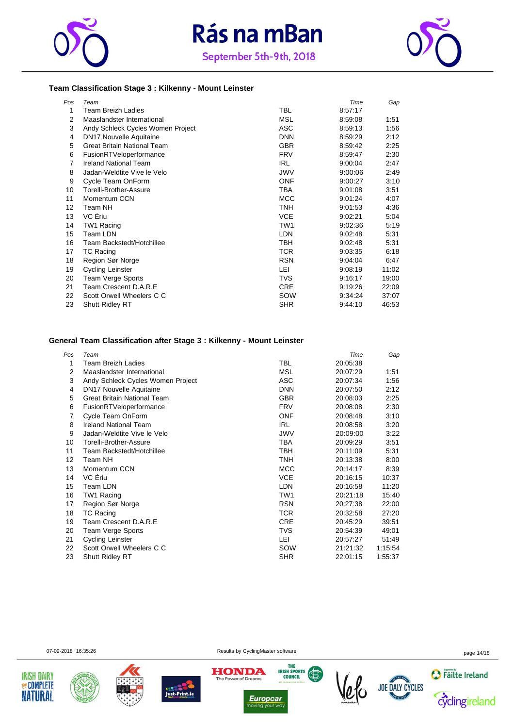





#### **Team Classification Stage 3 : Kilkenny - Mount Leinster**

| Pos | Team                               |            | Time    | Gap   |
|-----|------------------------------------|------------|---------|-------|
| 1   | Team Breizh Ladies                 | <b>TBL</b> | 8:57:17 |       |
| 2   | Maaslandster International         | MSL        | 8:59:08 | 1:51  |
| 3   | Andy Schleck Cycles Women Project  | ASC        | 8:59:13 | 1:56  |
| 4   | <b>DN17 Nouvelle Aquitaine</b>     | <b>DNN</b> | 8:59:29 | 2:12  |
| 5   | <b>Great Britain National Team</b> | <b>GBR</b> | 8:59:42 | 2:25  |
| 6   | FusionRTVeloperformance            | <b>FRV</b> | 8:59:47 | 2:30  |
| 7   | <b>Ireland National Team</b>       | <b>IRL</b> | 9:00:04 | 2:47  |
| 8   | Jadan-Weldtite Vive le Velo        | <b>JWV</b> | 9:00:06 | 2:49  |
| 9   | Cycle Team OnForm                  | <b>ONF</b> | 9:00:27 | 3:10  |
| 10  | Torelli-Brother-Assure             | <b>TBA</b> | 9:01:08 | 3:51  |
| 11  | Momentum CCN                       | <b>MCC</b> | 9:01:24 | 4:07  |
| 12  | Team NH                            | TNH        | 9:01:53 | 4:36  |
| 13  | VC Eriu                            | <b>VCE</b> | 9:02:21 | 5:04  |
| 14  | TW1 Racing                         | TW1        | 9:02:36 | 5:19  |
| 15  | <b>Team LDN</b>                    | <b>LDN</b> | 9:02:48 | 5:31  |
| 16  | Team Backstedt/Hotchillee          | TBH        | 9:02:48 | 5:31  |
| 17  | TC Racing                          | TCR.       | 9:03:35 | 6:18  |
| 18  | Region Sør Norge                   | <b>RSN</b> | 9:04:04 | 6:47  |
| 19  | Cycling Leinster                   | LEI        | 9:08:19 | 11:02 |
| 20  | Team Verge Sports                  | <b>TVS</b> | 9:16:17 | 19:00 |
| 21  | Team Crescent D.A.R.E              | <b>CRE</b> | 9:19:26 | 22:09 |
| 22  | Scott Orwell Wheelers C C          | SOW        | 9:34:24 | 37:07 |
| 23  | <b>Shutt Ridley RT</b>             | <b>SHR</b> | 9:44:10 | 46:53 |

#### **General Team Classification after Stage 3 : Kilkenny - Mount Leinster**

| Pos | Team                               |            | Time     | Gap     |
|-----|------------------------------------|------------|----------|---------|
| 1   | Team Breizh Ladies                 | TBL        | 20:05:38 |         |
| 2   | Maaslandster International         | MSL        | 20:07:29 | 1:51    |
| 3   | Andy Schleck Cycles Women Project  | <b>ASC</b> | 20:07:34 | 1:56    |
| 4   | <b>DN17 Nouvelle Aquitaine</b>     | <b>DNN</b> | 20:07:50 | 2:12    |
| 5   | <b>Great Britain National Team</b> | <b>GBR</b> | 20:08:03 | 2:25    |
| 6   | FusionRTVeloperformance            | <b>FRV</b> | 20:08:08 | 2:30    |
| 7   | Cycle Team OnForm                  | <b>ONF</b> | 20.08.48 | 3:10    |
| 8   | <b>Ireland National Team</b>       | <b>IRL</b> | 20:08:58 | 3:20    |
| 9   | Jadan-Weldtite Vive le Velo        | JWV        | 20:09:00 | 3:22    |
| 10  | Torelli-Brother-Assure             | TBA        | 20:09:29 | 3:51    |
| 11  | Team Backstedt/Hotchillee          | TBH        | 20:11:09 | 5:31    |
| 12  | Team NH                            | TNH        | 20:13:38 | 8:00    |
| 13  | Momentum CCN                       | MCC        | 20:14:17 | 8:39    |
| 14  | VC Eriu                            | <b>VCE</b> | 20:16:15 | 10:37   |
| 15  | Team LDN                           | <b>LDN</b> | 20:16:58 | 11:20   |
| 16  | TW1 Racing                         | TW1        | 20:21:18 | 15:40   |
| 17  | Region Sør Norge                   | <b>RSN</b> | 20:27:38 | 22:00   |
| 18  | <b>TC Racing</b>                   | TCR        | 20:32:58 | 27:20   |
| 19  | Team Crescent D.A.R.E              | <b>CRE</b> | 20:45:29 | 39:51   |
| 20  | Team Verge Sports                  | TVS        | 20:54:39 | 49:01   |
| 21  | Cycling Leinster                   | LEI        | 20:57:27 | 51:49   |
| 22  | Scott Orwell Wheelers C C          | SOW        | 21:21:32 | 1:15:54 |
| 23  | <b>Shutt Ridley RT</b>             | <b>SHR</b> | 22:01:15 | 1:55:37 |

07-09-2018 16:35:26 page 14/18











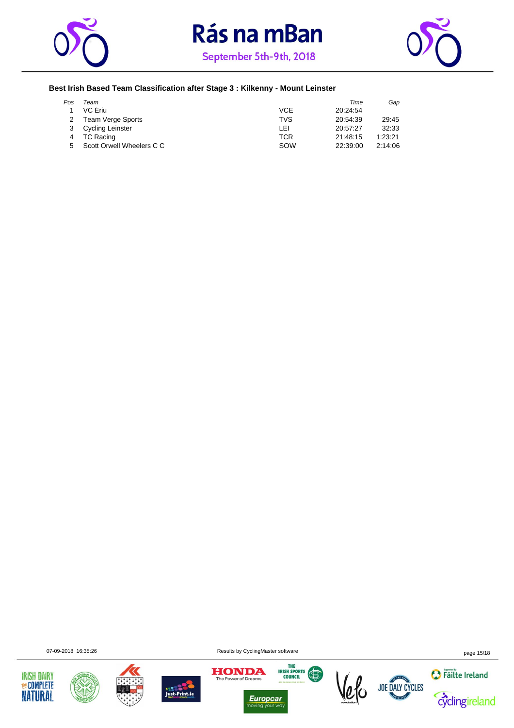





#### **Best Irish Based Team Classification after Stage 3 : Kilkenny - Mount Leinster**

| Pos | Team                      |            | Time     | Gap     |
|-----|---------------------------|------------|----------|---------|
|     | VC Eriu                   | VCE        | 20:24:54 |         |
|     | <b>Team Verge Sports</b>  | <b>TVS</b> | 20:54:39 | 29:45   |
|     | <b>Cycling Leinster</b>   | LEI        | 20:57:27 | 32:33   |
|     | TC Racing                 | TCR        | 21:48:15 | 1:23:21 |
|     | Scott Orwell Wheelers C C | SOW        | 22:39:00 | 2:14:06 |













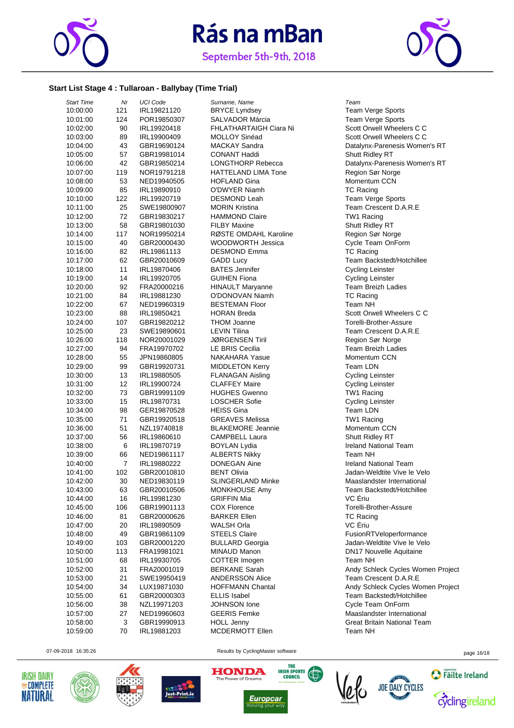

September 5th-9th, 2018



#### **Start List Stage 4 : Tullaroan - Ballybay (Time Trial)**

| <b>Start Time</b> | Nr             | <b>UCI Code</b> | Surname, Name              | Team                           |
|-------------------|----------------|-----------------|----------------------------|--------------------------------|
| 10:00:00          | 121            | IRL19821120     | <b>BRYCE Lyndsey</b>       | Team Verge Sports              |
| 10:01:00          | 124            | POR19850307     | <b>SALVADOR Márcia</b>     | Team Verge Sports              |
| 10:02:00          | 90             | IRL19920418     | FHLATHARTAIGH Ciara Ni     | Scott Orwell Wheelers C C      |
| 10:03:00          | 89             | IRL19900409     | MOLLOY Sinéad              | Scott Orwell Wheelers C C      |
| 10:04:00          | 43             | GBR19690124     | <b>MACKAY Sandra</b>       | Datalynx-Parenesis Women's RT  |
| 10:05:00          | 57             | GBR19981014     | <b>CONANT Haddi</b>        | Shutt Ridley RT                |
| 10:06:00          | 42             | GBR19850214     | <b>LONGTHORP Rebecca</b>   | Datalynx-Parenesis Women's RT  |
| 10:07:00          | 119            | NOR19791218     | <b>HATTELAND LIMA Tone</b> | Region Sør Norge               |
| 10:08:00          | 53             | NED19940505     | <b>HOFLAND Gina</b>        | <b>Momentum CCN</b>            |
| 10:09:00          | 85             | IRL19890910     | O'DWYER Niamh              | <b>TC Racing</b>               |
| 10:10:00          | 122            | IRL19920719     | <b>DESMOND Leah</b>        | Team Verge Sports              |
| 10:11:00          | 25             | SWE19800907     | <b>MORIN Kristina</b>      | Team Crescent D.A.R.E          |
| 10:12:00          | 72             | GBR19830217     | <b>HAMMOND Claire</b>      | TW1 Racing                     |
| 10:13:00          | 58             | GBR19801030     | <b>FILBY Maxine</b>        | Shutt Ridley RT                |
| 10:14:00          | 117            | NOR19950214     | RØSTE OMDAHL Karoline      | Region Sør Norge               |
| 10:15:00          | 40             | GBR20000430     | <b>WOODWORTH Jessica</b>   | Cycle Team OnForm              |
| 10:16:00          | 82             | IRL19861113     | <b>DESMOND Emma</b>        | <b>TC Racing</b>               |
| 10:17:00          | 62             | GBR20010609     | <b>GADD Lucy</b>           | Team Backstedt/Hotchillee      |
| 10:18:00          | 11             | IRL19870406     | <b>BATES Jennifer</b>      | <b>Cycling Leinster</b>        |
| 10:19:00          | 14             | IRL19920705     | <b>GUIHEN Fiona</b>        | <b>Cycling Leinster</b>        |
| 10:20:00          | 92             | FRA20000216     | <b>HINAULT Maryanne</b>    | <b>Team Breizh Ladies</b>      |
| 10:21:00          | 84             | IRL19881230     | O'DONOVAN Niamh            | <b>TC Racing</b>               |
| 10:22:00          | 67             | NED19960319     | <b>BESTEMAN Floor</b>      | Team NH                        |
| 10:23:00          | 88             | IRL19850421     | <b>HORAN Breda</b>         | Scott Orwell Wheelers C C      |
| 10:24:00          | 107            | GBR19820212     | <b>THOM Joanne</b>         | Torelli-Brother-Assure         |
| 10:25:00          | 23             | SWE19890601     | <b>LEVIN Tilina</b>        | Team Crescent D.A.R.E          |
| 10:26:00          | 118            | NOR20001029     | <b>JØRGENSEN Tiril</b>     | Region Sør Norge               |
| 10:27:00          | 94             | FRA19970702     | <b>LE BRIS Cecilia</b>     | <b>Team Breizh Ladies</b>      |
| 10:28:00          | 55             | JPN19860805     | <b>NAKAHARA Yasue</b>      | Momentum CCN                   |
| 10:29:00          | 99             | GBR19920731     | <b>MIDDLETON Kerry</b>     | Team LDN                       |
| 10:30:00          | 13             | IRL19880505     | <b>FLANAGAN Aisling</b>    | <b>Cycling Leinster</b>        |
| 10:31:00          | 12             | IRL19900724     | <b>CLAFFEY Maire</b>       | <b>Cycling Leinster</b>        |
| 10:32:00          | 73             | GBR19991109     | <b>HUGHES Gwenno</b>       | TW1 Racing                     |
| 10:33:00          | 15             | IRL19870731     | <b>LOSCHER Sofie</b>       | <b>Cycling Leinster</b>        |
| 10:34:00          | 98             | GER19870528     | <b>HEISS Gina</b>          | Team LDN                       |
| 10:35:00          | 71             | GBR19920518     | <b>GREAVES Melissa</b>     | TW1 Racing                     |
| 10:36:00          | 51             | NZL19740818     | <b>BLAKEMORE Jeannie</b>   | Momentum CCN                   |
| 10:37:00          | 56             | IRL19860610     | <b>CAMPBELL Laura</b>      | Shutt Ridley RT                |
| 10:38:00          | 6              | IRL19870719     | <b>BOYLAN Lydia</b>        | <b>Ireland National Team</b>   |
| 10:39:00          | 66             | NED19861117     | <b>ALBERTS Nikky</b>       | Team NH                        |
| 10:40:00          | $\overline{7}$ | IRL19880222     | <b>DONEGAN Aine</b>        | <b>Ireland National Team</b>   |
| 10:41:00          | 102            | GBR20010810     | <b>BENT Olivia</b>         | Jadan-Weldtite Vive le Velo    |
| 10:42:00          | 30             | NED19830119     | <b>SLINGERLAND Minke</b>   | Maaslandster International     |
| 10:43:00          | 63             | GBR20010506     | MONKHOUSE Amy              | Team Backstedt/Hotchillee      |
| 10:44:00          | 16             | IRL19981230     | <b>GRIFFIN Mia</b>         | VC Eriu                        |
| 10:45:00          | 106            | GBR19901113     | <b>COX Florence</b>        | Torelli-Brother-Assure         |
| 10:46:00          | 81             | GBR20000626     | <b>BARKER Ellen</b>        | <b>TC Racing</b>               |
| 10:47:00          | 20             | IRL19890509     | <b>WALSH Orla</b>          | VC Eriu                        |
| 10:48:00          | 49             | GBR19861109     | <b>STEELS Claire</b>       | FusionRTVeloperformance        |
| 10:49:00          | 103            | GBR20001220     | <b>BULLARD Georgia</b>     | Jadan-Weldtite Vive le Velo    |
| 10:50:00          | 113            | FRA19981021     | <b>MINAUD Manon</b>        | <b>DN17 Nouvelle Aquitaine</b> |
| 10:51:00          | 68             | IRL19930705     | COTTER Imogen              | Team NH                        |
| 10:52:00          | 31             | FRA20001019     | <b>BERKANE Sarah</b>       | Andy Schleck Cycles Women Pr   |
| 10:53:00          | 21             | SWE19950419     | <b>ANDERSSON Alice</b>     | Team Crescent D.A.R.E          |
| 10:54:00          | 34             | LUX19871030     | <b>HOFFMANN Chantal</b>    | Andy Schleck Cycles Women Pro  |
| 10:55:00          | 61             | GBR20000303     | <b>ELLIS Isabel</b>        | Team Backstedt/Hotchillee      |
| 10:56:00          | 38             | NZL19971203     | <b>JOHNSON lone</b>        | Cycle Team OnForm              |
| 10:57:00          | 27             | NED19960603     | <b>GEERIS Femke</b>        | Maaslandster International     |
| 10:58:00          | 3              | GBR19990913     | <b>HOLL Jenny</b>          | Great Britain National Team    |
| 10:59:00          | 70             | IRL19881203     | MCDERMOTT Ellen            | Team NH                        |





**HONDA** 



Women Project Women Project<br>hillee 07-09-2018 16:35:26 page 16/18 **JOE DALY CYCLES** 



cyclingireland

**O** Failte Ireland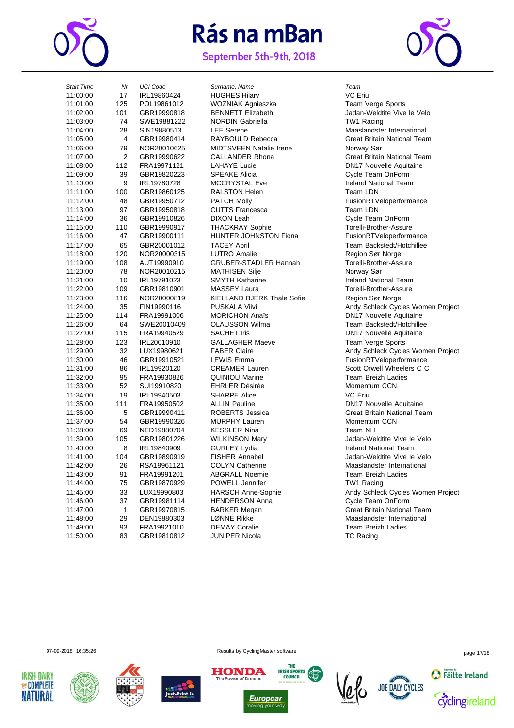

September 5th-9th, 2018



| <b>Start Time</b> | Nr             | <b>UCI Code</b> | Surname, Name                     | Team                  |
|-------------------|----------------|-----------------|-----------------------------------|-----------------------|
| 11:00:00          | 17             | IRL19860424     | <b>HUGHES Hilary</b>              | VC Eriu               |
| 11:01:00          | 125            | POL19861012     | WOZNIAK Agnieszka                 | Team Verge            |
| 11:02:00          | 101            | GBR19990818     | <b>BENNETT Elizabeth</b>          | Jadan-Weldt           |
| 11:03:00          | 74             | SWE19881222     | <b>NORDIN Gabriella</b>           | TW1 Racing            |
| 11:04:00          | 28             | SIN19880513     | <b>LEE</b> Serene                 | Maaslandste           |
| 11:05:00          | 4              | GBR19980414     | RAYBOULD Rebecca                  | Great Britain         |
| 11:06:00          | 79             | NOR20010625     | <b>MIDTSVEEN Natalie Irene</b>    | Norway Sør            |
| 11:07:00          | $\overline{2}$ | GBR19990622     | <b>CALLANDER Rhona</b>            | Great Britain         |
| 11:08:00          | 112            | FRA19971121     | <b>LAHAYE Lucie</b>               | DN17 Nouve            |
| 11:09:00          | 39             | GBR19820223     | <b>SPEAKE Alicia</b>              | Cycle Team            |
| 11:10:00          | 9              | IRL19780728     | <b>MCCRYSTAL Eve</b>              | <b>Ireland Natic</b>  |
| 11:11:00          | 100            | GBR19860125     | <b>RALSTON Helen</b>              | Team LDN              |
| 11:12:00          | 48             | GBR19950712     | <b>PATCH Molly</b>                | FusionRTVe            |
| 11:13:00          | 97             | GBR19950818     | <b>CUTTS Francesca</b>            | Team LDN              |
| 11:14:00          | 36             | GBR19910826     | DIXON Leah                        | Cycle Team            |
| 11:15:00          | 110            | GBR19990917     | <b>THACKRAY Sophie</b>            | Torelli-Broth         |
| 11:16:00          | 47             | GBR19900111     | HUNTER JOHNSTON Fiona             | FusionRTVe            |
| 11:17:00          | 65             | GBR20001012     | <b>TACEY April</b>                | Team Backs            |
| 11:18:00          | 120            | NOR20000315     | LUTRO Amalie                      | Region Sør I          |
| 11:19:00          | 108            | AUT19990910     | <b>GRUBER-STADLER Hannah</b>      | Torelli-Broth         |
| 11:20:00          | 78             | NOR20010215     | <b>MATHISEN Silje</b>             | Norway Sør            |
| 11:21:00          | 10             | IRL19791023     | <b>SMYTH Katharine</b>            | <b>Ireland Natic</b>  |
| 11:22:00          | 109            | GBR19810901     | <b>MASSEY Laura</b>               | Torelli-Broth         |
| 11:23:00          | 116            | NOR20000819     | <b>KIELLAND BJERK Thale Sofie</b> | Region Sør I          |
| 11:24:00          | 35             | FIN19990116     | <b>PUSKALA Viivi</b>              | Andy Schlec           |
| 11:25:00          | 114            | FRA19991006     | <b>MORICHON Anaïs</b>             | DN17 Nouve            |
| 11:26:00          | 64             | SWE20010409     | <b>OLAUSSON Wilma</b>             | <b>Team Backs</b>     |
| 11:27:00          | 115            | FRA19940529     | <b>SACHET Iris</b>                | DN17 Nouve            |
| 11:28:00          | 123            | IRL20010910     | <b>GALLAGHER Maeve</b>            | Team Verge            |
| 11:29:00          | 32             | LUX19980621     | <b>FABER Claire</b>               | Andy Schlec           |
| 11:30:00          | 46             | GBR19910521     | <b>LEWIS Emma</b>                 | FusionRTVe            |
| 11:31:00          | 86             | IRL19920120     | <b>CREAMER Lauren</b>             | <b>Scott Orwell</b>   |
| 11:32:00          | 95             | FRA19930826     | <b>QUINIOU Marine</b>             | <b>Team Breizh</b>    |
| 11:33:00          | 52             | SUI19910820     | <b>EHRLER Désirée</b>             | Momentum <sup>(</sup> |
| 11:34:00          | 19             | IRL19940503     | <b>SHARPE Alice</b>               | VC Eriu               |
| 11:35:00          | 111            | FRA19950502     | <b>ALLIN Pauline</b>              | DN17 Nouve            |
| 11:36:00          | 5              | GBR19990411     | ROBERTS Jessica                   | Great Britair         |
| 11:37:00          | 54             | GBR19990326     | <b>MURPHY Lauren</b>              | Momentum (            |
| 11:38:00          | 69             | NED19880704     | <b>KESSLER Nina</b>               | Team NH               |
| 11:39:00          | 105            | GBR19801226     | <b>WILKINSON Mary</b>             | Jadan-Weldt           |
| 11:40:00          | 8              | IRL19840909     | <b>GURLEY Lydia</b>               | <b>Ireland Natio</b>  |
| 11:41:00          | 104            | GBR19890919     | <b>FISHER Annabel</b>             | Jadan-Weldt           |
| 11:42:00          | 26             | RSA19961121     | <b>COLYN Catherine</b>            | Maaslandste           |
| 11:43:00          | 91             | FRA19991201     | <b>ABGRALL Noemie</b>             | Team Breizh           |
| 11:44:00          | 75             | GBR19870929     | <b>POWELL Jennifer</b>            | TW1 Racing            |
| 11:45:00          | 33             | LUX19990803     | <b>HARSCH Anne-Sophie</b>         | Andy Schlec           |
| 11:46:00          | 37             | GBR19981114     | <b>HENDERSON Anna</b>             | Cycle Team            |
| 11:47:00          | $\mathbf{1}$   | GBR19970815     | <b>BARKER Megan</b>               | <b>Great Britain</b>  |
| 11:48:00          | 29             | DEN19880303     | LØNNE Rikke                       | Maaslandste           |
| 11:49:00          | 93             | FRA19921010     | <b>DEMAY Coralie</b>              | Team Breizh           |
| 11:50:00          | 83             | GBR19810812     | JUNIPER Nicola                    | <b>TC Racing</b>      |
|                   |                |                 |                                   |                       |

1AK Agnieszka **11:00 12:00 12:00 12:00 12:00 12:00 12:00 12:00 12:00 12:00 12:00 12:00 12:00 12:00 12:00 12:00**<br>TTT Elizabeth 11:06:00 79 NOR20010625 MIDTSVEEN Natalie Irene Norway Sør International Cycle Team OnForm YSTAL Eve **11:10:00 9 Ireland National Team** 11:13:13:00 Francesca Team LDN Leah Cycle Team OnForm 11:15:15:00 Torelli-Brother-Assure<br>11:15:00 Triona Top TusionRTVeloperform 11:19:00 108 AUT19990910 GRUBER-STADLER Hannah Torelli-Brother-Assure اتاتا: Norway Sør<br>H Katharine المساحة التاتية Ireland Nati EY Laura **12:00 CES** Construction Torelli-Brother-Assure 1ND BJERK Thale Sofie **Region Sør Norge** 1.GHER Maeve **120 IRL2001** Team Verge Sports 11:32:00 DU Marine 11:32:00 Feam Breizh Ladies<br>11:32:00 Momentum CCN 11:47:11:27:00 11:37:00 Momentum CCN<br>11:37:00 54 ER Nina Momentum CCN Team NH EY Lydia **Institute Communist Communist Communist Communist Communist Communist Communist Communist Communist Communist Communist Communist Communist Communist Communist Communist Communist Communist Communist Communist Co** 11:43:11:43:00 91 ALL Noemie 11:43:00 91 Team Breizh Ladies<br>13:43:11:43:11:43:11:43:11:43:11:43:11:43:11:43:11:43:11:43:11:43:11:43:11:43:11:43 ERSON Anna **11:46:00 STSON Anna** Cycle Team OnForm

11:02:00 11:02:00 101 Jadan-Weldtite Vive le Velo<br>11:02:00 101 N Gabriella<br>11:02:00 11:02:00 11:02:00 11:02:00 11:02:00 11:02:00 11:03:00 11:03:00 11:03:00 11:0 11:04:00 28 SIN19880513 LEE Serene Maaslandster International Great Britain National Team 11:00 NDER Rhona **11:00 2 Great Britain National Team**<br>11:00 2 Callander Britain DDM17 Nouvelle Aquitaine DN17 Nouvelle Aquitaine 1 Molly **Alternative Material Properties FusionRTVeloperformance** FusionRTVeloperformance 11:17:17:00 66 April 11:17:00 Feam Backstedt/Hotchillee<br>11:17:00 65 April 11:17:00 Featon Sør Norge Region Sør Norge Ireland National Team 11:24 Viivi **11:25 Finandial Schleck Cycles Women Project** HON Anaïs **EXECUTE:** DN17 Nouvelle Aquitaine 11:35 SSON Wilma **11:26:00 SSON Wilma** ET Iris **11:27:00 12:00 12:00 12:00 12:00 DN17 Nouvelle Aquitaine** Claire **11:29:00 22 Claire Andy Schleck Cycles Women Project** Emma FusionRTVeloperformance Internal 11:31:31:00 Scott Orwell Wheelers C C Momentum CCN 11:35:11:35:00 11:35:00 Pauline<br>11:35:00 11:35:00 11:35:00 11:35:00 11:35:00 11:35:00 11:35:00 11:35<br>11:35:00 11:35:00 11:35:00 11:35:00 11:35:00 11:35:00 11:35:00 11:35:00 11:35:00 11:35 Great Britain National Team 11:30 Vision Mary 11:39:00 105 Jadan-Weldtite Vive le Velo 11:41:00 104 GBR19890919 FISHER Annabel Jadan-Weldtite Vive le Velo V Catherine **12:42:00 26 RSA100 26 RS**Maaslandster International TW1 Racing 2H Anne-Sophie **12:45:00 33 Andy Schleck Cycles Women Project** IR Megan **11:47:00 1 Great Britain National Team** 11:48:48:00 E Rikke Maaslandster International<br>11:48:00 2011 V Coralie Maaslandster International Team Breizh Ladies

07-09-2018 16:35:26 **Page 17/18** Results by CyclingMaster software page 17/18











THE